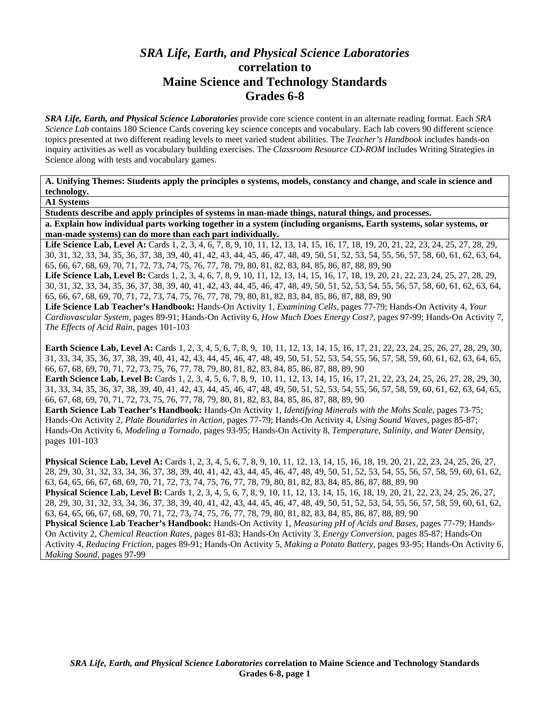# *SRA Life, Earth, and Physical Science Laboratories*  **correlation to Maine Science and Technology Standards Grades 6-8**

*SRA Life, Earth, and Physical Science Laboratories* provide core science content in an alternate reading format. Each *SRA Science Lab* contains 180 Science Cards covering key science concepts and vocabulary. Each lab covers 90 different science topics presented at two different reading levels to meet varied student abilities. The *Teacher's Handbook* includes hands-on inquiry activities as well as vocabulary building exercises. The *Classroom Resource CD-ROM* includes Writing Strategies in Science along with tests and vocabulary games.

**A. Unifying Themes: Students apply the principles o systems, models, constancy and change, and scale in science and technology.** 

**A1 Systems** 

**Students describe and apply principles of systems in man-made things, natural things, and processes.** 

**a. Explain how individual parts working together in a system (including organisms, Earth systems, solar systems, or man-made systems) can do more than each part individually.** 

Life Science Lab, Level A: Cards 1, 2, 3, 4, 6, 7, 8, 9, 10, 11, 12, 13, 14, 15, 16, 17, 18, 19, 20, 21, 22, 23, 24, 25, 27, 28, 29, 30, 31, 32, 33, 34, 35, 36, 37, 38, 39, 40, 41, 42, 43, 44, 45, 46, 47, 48, 49, 50, 51, 52, 53, 54, 55, 56, 57, 58, 60, 61, 62, 63, 64, 65, 66, 67, 68, 69, 70, 71, 72, 73, 74, 75, 76, 77, 78, 79, 80, 81, 82, 83, 84, 85, 86, 87, 88, 89, 90

Life Science Lab, Level B: Cards 1, 2, 3, 4, 6, 7, 8, 9, 10, 11, 12, 13, 14, 15, 16, 17, 18, 19, 20, 21, 22, 23, 24, 25, 27, 28, 29, 30, 31, 32, 33, 34, 35, 36, 37, 38, 39, 40, 41, 42, 43, 44, 45, 46, 47, 48, 49, 50, 51, 52, 53, 54, 55, 56, 57, 58, 60, 61, 62, 63, 64, 65, 66, 67, 68, 69, 70, 71, 72, 73, 74, 75, 76, 77, 78, 79, 80, 81, 82, 83, 84, 85, 86, 87, 88, 89, 90

**Life Science Lab Teacher's Handbook:** Hands-On Activity 1, *Examining Cells,* pages 77-79; Hands-On Activity 4, *Your Cardiovascular System,* pages 89-91; Hands-On Activity 6, *How Much Does Energy Cost?,* pages 97-99; Hands-On Activity 7, *The Effects of Acid Rain,* pages 101-103

**Earth Science Lab, Level A:** Cards 1, 2, 3, 4, 5, 6, 7, 8, 9, 10, 11, 12, 13, 14, 15, 16, 17, 21, 22, 23, 24, 25, 26, 27, 28, 29, 30, 31, 33, 34, 35, 36, 37, 38, 39, 40, 41, 42, 43, 44, 45, 46, 47, 48, 49, 50, 51, 52, 53, 54, 55, 56, 57, 58, 59, 60, 61, 62, 63, 64, 65, 66, 67, 68, 69, 70, 71, 72, 73, 75, 76, 77, 78, 79, 80, 81, 82, 83, 84, 85, 86, 87, 88, 89, 90

**Earth Science Lab, Level B:** Cards 1, 2, 3, 4, 5, 6, 7, 8, 9, 10, 11, 12, 13, 14, 15, 16, 17, 21, 22, 23, 24, 25, 26, 27, 28, 29, 30, 31, 33, 34, 35, 36, 37, 38, 39, 40, 41, 42, 43, 44, 45, 46, 47, 48, 49, 50, 51, 52, 53, 54, 55, 56, 57, 58, 59, 60, 61, 62, 63, 64, 65, 66, 67, 68, 69, 70, 71, 72, 73, 75, 76, 77, 78, 79, 80, 81, 82, 83, 84, 85, 86, 87, 88, 89, 90

**Earth Science Lab Teacher's Handbook:** Hands-On Activity 1, *Identifying Minerals with the Mohs Scale,* pages 73-75; Hands-On Activity 2, *Plate Boundaries in Action,* pages 77-79; Hands-On Activity 4, *Using Sound Waves,* pages 85-87; Hands-On Activity 6, *Modeling a Tornado,* pages 93-95; Hands-On Activity 8, *Temperature, Salinity, and Water Density,* pages 101-103

**Physical Science Lab, Level A:** Cards 1, 2, 3, 4, 5, 6, 7, 8, 9, 10, 11, 12, 13, 14, 15, 16, 18, 19, 20, 21, 22, 23, 24, 25, 26, 27, 28, 29, 30, 31, 32, 33, 34, 36, 37, 38, 39, 40, 41, 42, 43, 44, 45, 46, 47, 48, 49, 50, 51, 52, 53, 54, 55, 56, 57, 58, 59, 60, 61, 62, 63, 64, 65, 66, 67, 68, 69, 70, 71, 72, 73, 74, 75, 76, 77, 78, 79, 80, 81, 82, 83, 84, 85, 86, 87, 88, 89, 90

**Physical Science Lab, Level B:** Cards 1, 2, 3, 4, 5, 6, 7, 8, 9, 10, 11, 12, 13, 14, 15, 16, 18, 19, 20, 21, 22, 23, 24, 25, 26, 27, 28, 29, 30, 31, 32, 33, 34, 36, 37, 38, 39, 40, 41, 42, 43, 44, 45, 46, 47, 48, 49, 50, 51, 52, 53, 54, 55, 56, 57, 58, 59, 60, 61, 62, 63, 64, 65, 66, 67, 68, 69, 70, 71, 72, 73, 74, 75, 76, 77, 78, 79, 80, 81, 82, 83, 84, 85, 86, 87, 88, 89, 90

**Physical Science Lab Teacher's Handbook:** Hands-On Activity 1, *Measuring pH of Acids and Bases,* pages 77-79; Hands-On Activity 2, *Chemical Reaction Rates,* pages 81-83; Hands-On Activity 3, *Energy Conversion,* pages 85-87; Hands-On Activity 4, *Reducing Friction,* pages 89-91; Hands-On Activity 5, *Making a Potato Battery,* pages 93-95; Hands-On Activity 6, *Making Sound,* pages 97-99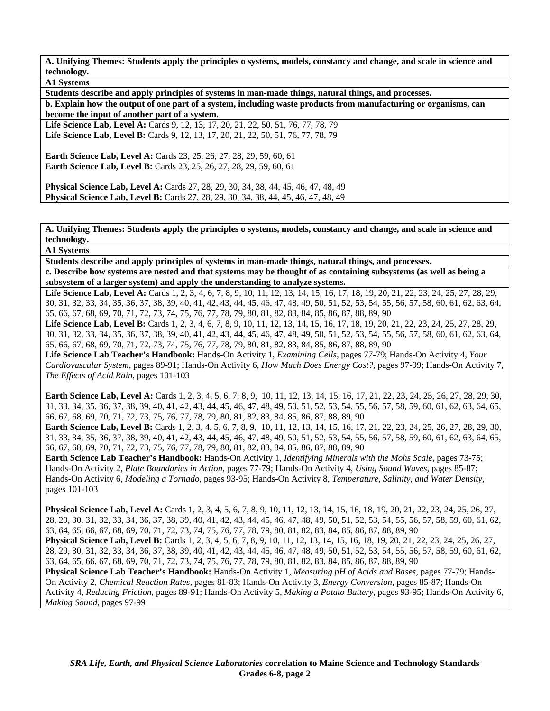**A1 Systems** 

**Students describe and apply principles of systems in man-made things, natural things, and processes.** 

**b. Explain how the output of one part of a system, including waste products from manufacturing or organisms, can become the input of another part of a system.** 

Life Science Lab, Level A: Cards 9, 12, 13, 17, 20, 21, 22, 50, 51, 76, 77, 78, 79 **Life Science Lab, Level B:** Cards 9, 12, 13, 17, 20, 21, 22, 50, 51, 76, 77, 78, 79

**Earth Science Lab, Level A:** Cards 23, 25, 26, 27, 28, 29, 59, 60, 61 **Earth Science Lab, Level B:** Cards 23, 25, 26, 27, 28, 29, 59, 60, 61

**Physical Science Lab, Level A:** Cards 27, 28, 29, 30, 34, 38, 44, 45, 46, 47, 48, 49 **Physical Science Lab, Level B:** Cards 27, 28, 29, 30, 34, 38, 44, 45, 46, 47, 48, 49

**A. Unifying Themes: Students apply the principles o systems, models, constancy and change, and scale in science and technology.** 

**A1 Systems** 

**Students describe and apply principles of systems in man-made things, natural things, and processes.** 

**c. Describe how systems are nested and that systems may be thought of as containing subsystems (as well as being a subsystem of a larger system) and apply the understanding to analyze systems.** 

Life Science Lab, Level A: Cards 1, 2, 3, 4, 6, 7, 8, 9, 10, 11, 12, 13, 14, 15, 16, 17, 18, 19, 20, 21, 22, 23, 24, 25, 27, 28, 29, 30, 31, 32, 33, 34, 35, 36, 37, 38, 39, 40, 41, 42, 43, 44, 45, 46, 47, 48, 49, 50, 51, 52, 53, 54, 55, 56, 57, 58, 60, 61, 62, 63, 64, 65, 66, 67, 68, 69, 70, 71, 72, 73, 74, 75, 76, 77, 78, 79, 80, 81, 82, 83, 84, 85, 86, 87, 88, 89, 90

Life Science Lab, Level B: Cards 1, 2, 3, 4, 6, 7, 8, 9, 10, 11, 12, 13, 14, 15, 16, 17, 18, 19, 20, 21, 22, 23, 24, 25, 27, 28, 29, 30, 31, 32, 33, 34, 35, 36, 37, 38, 39, 40, 41, 42, 43, 44, 45, 46, 47, 48, 49, 50, 51, 52, 53, 54, 55, 56, 57, 58, 60, 61, 62, 63, 64, 65, 66, 67, 68, 69, 70, 71, 72, 73, 74, 75, 76, 77, 78, 79, 80, 81, 82, 83, 84, 85, 86, 87, 88, 89, 90

**Life Science Lab Teacher's Handbook:** Hands-On Activity 1, *Examining Cells,* pages 77-79; Hands-On Activity 4, *Your Cardiovascular System,* pages 89-91; Hands-On Activity 6, *How Much Does Energy Cost?,* pages 97-99; Hands-On Activity 7, *The Effects of Acid Rain,* pages 101-103

**Earth Science Lab, Level A:** Cards 1, 2, 3, 4, 5, 6, 7, 8, 9, 10, 11, 12, 13, 14, 15, 16, 17, 21, 22, 23, 24, 25, 26, 27, 28, 29, 30, 31, 33, 34, 35, 36, 37, 38, 39, 40, 41, 42, 43, 44, 45, 46, 47, 48, 49, 50, 51, 52, 53, 54, 55, 56, 57, 58, 59, 60, 61, 62, 63, 64, 65, 66, 67, 68, 69, 70, 71, 72, 73, 75, 76, 77, 78, 79, 80, 81, 82, 83, 84, 85, 86, 87, 88, 89, 90

**Earth Science Lab, Level B:** Cards 1, 2, 3, 4, 5, 6, 7, 8, 9, 10, 11, 12, 13, 14, 15, 16, 17, 21, 22, 23, 24, 25, 26, 27, 28, 29, 30, 31, 33, 34, 35, 36, 37, 38, 39, 40, 41, 42, 43, 44, 45, 46, 47, 48, 49, 50, 51, 52, 53, 54, 55, 56, 57, 58, 59, 60, 61, 62, 63, 64, 65, 66, 67, 68, 69, 70, 71, 72, 73, 75, 76, 77, 78, 79, 80, 81, 82, 83, 84, 85, 86, 87, 88, 89, 90

**Earth Science Lab Teacher's Handbook:** Hands-On Activity 1, *Identifying Minerals with the Mohs Scale,* pages 73-75; Hands-On Activity 2, *Plate Boundaries in Action,* pages 77-79; Hands-On Activity 4, *Using Sound Waves,* pages 85-87; Hands-On Activity 6, *Modeling a Tornado,* pages 93-95; Hands-On Activity 8, *Temperature, Salinity, and Water Density,* pages 101-103

**Physical Science Lab, Level A:** Cards 1, 2, 3, 4, 5, 6, 7, 8, 9, 10, 11, 12, 13, 14, 15, 16, 18, 19, 20, 21, 22, 23, 24, 25, 26, 27, 28, 29, 30, 31, 32, 33, 34, 36, 37, 38, 39, 40, 41, 42, 43, 44, 45, 46, 47, 48, 49, 50, 51, 52, 53, 54, 55, 56, 57, 58, 59, 60, 61, 62, 63, 64, 65, 66, 67, 68, 69, 70, 71, 72, 73, 74, 75, 76, 77, 78, 79, 80, 81, 82, 83, 84, 85, 86, 87, 88, 89, 90 **Physical Science Lab, Level B:** Cards 1, 2, 3, 4, 5, 6, 7, 8, 9, 10, 11, 12, 13, 14, 15, 16, 18, 19, 20, 21, 22, 23, 24, 25, 26, 27, 28, 29, 30, 31, 32, 33, 34, 36, 37, 38, 39, 40, 41, 42, 43, 44, 45, 46, 47, 48, 49, 50, 51, 52, 53, 54, 55, 56, 57, 58, 59, 60, 61, 62, 63, 64, 65, 66, 67, 68, 69, 70, 71, 72, 73, 74, 75, 76, 77, 78, 79, 80, 81, 82, 83, 84, 85, 86, 87, 88, 89, 90 **Physical Science Lab Teacher's Handbook:** Hands-On Activity 1, *Measuring pH of Acids and Bases,* pages 77-79; Hands-On Activity 2, *Chemical Reaction Rates,* pages 81-83; Hands-On Activity 3, *Energy Conversion,* pages 85-87; Hands-On Activity 4, *Reducing Friction,* pages 89-91; Hands-On Activity 5, *Making a Potato Battery,* pages 93-95; Hands-On Activity 6, *Making Sound,* pages 97-99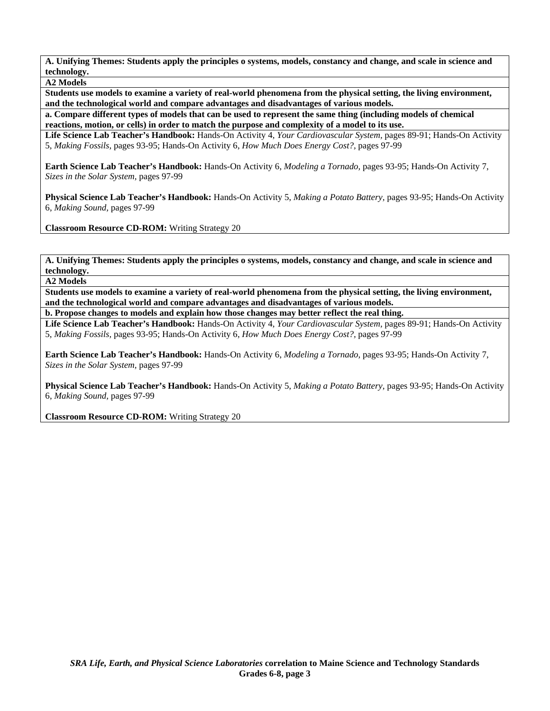**A2 Models** 

**Students use models to examine a variety of real-world phenomena from the physical setting, the living environment, and the technological world and compare advantages and disadvantages of various models.** 

**a. Compare different types of models that can be used to represent the same thing (including models of chemical reactions, motion, or cells) in order to match the purpose and complexity of a model to its use.** 

**Life Science Lab Teacher's Handbook:** Hands-On Activity 4, *Your Cardiovascular System,* pages 89-91; Hands-On Activity 5, *Making Fossils,* pages 93-95; Hands-On Activity 6, *How Much Does Energy Cost?,* pages 97-99

**Earth Science Lab Teacher's Handbook:** Hands-On Activity 6, *Modeling a Tornado,* pages 93-95; Hands-On Activity 7, *Sizes in the Solar System,* pages 97-99

**Physical Science Lab Teacher's Handbook:** Hands-On Activity 5, *Making a Potato Battery,* pages 93-95; Hands-On Activity 6, *Making Sound,* pages 97-99

**Classroom Resource CD-ROM:** Writing Strategy 20

**A. Unifying Themes: Students apply the principles o systems, models, constancy and change, and scale in science and technology.** 

**A2 Models** 

**Students use models to examine a variety of real-world phenomena from the physical setting, the living environment, and the technological world and compare advantages and disadvantages of various models.** 

**b. Propose changes to models and explain how those changes may better reflect the real thing.** 

**Life Science Lab Teacher's Handbook:** Hands-On Activity 4, *Your Cardiovascular System,* pages 89-91; Hands-On Activity 5, *Making Fossils,* pages 93-95; Hands-On Activity 6, *How Much Does Energy Cost?,* pages 97-99

**Earth Science Lab Teacher's Handbook:** Hands-On Activity 6, *Modeling a Tornado,* pages 93-95; Hands-On Activity 7, *Sizes in the Solar System,* pages 97-99

**Physical Science Lab Teacher's Handbook:** Hands-On Activity 5, *Making a Potato Battery,* pages 93-95; Hands-On Activity 6, *Making Sound,* pages 97-99

**Classroom Resource CD-ROM:** Writing Strategy 20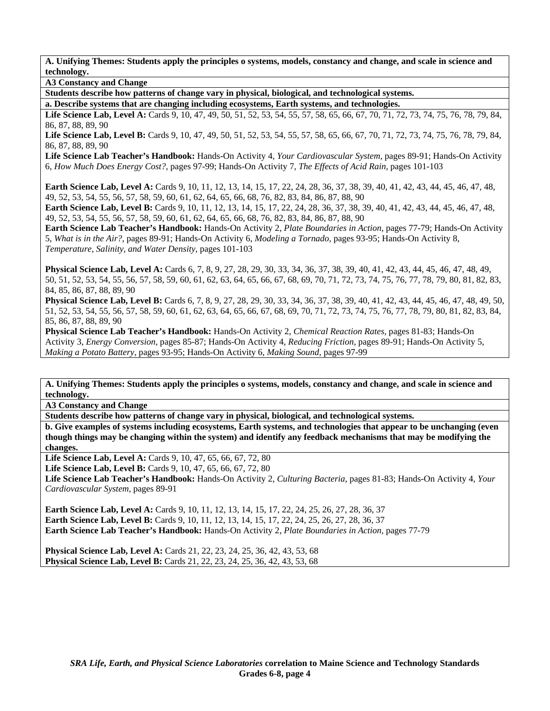**A3 Constancy and Change** 

**Students describe how patterns of change vary in physical, biological, and technological systems.** 

**a. Describe systems that are changing including ecosystems, Earth systems, and technologies.** 

Life Science Lab, Level A: Cards 9, 10, 47, 49, 50, 51, 52, 53, 54, 55, 57, 58, 65, 66, 67, 70, 71, 72, 73, 74, 75, 76, 78, 79, 84, 86, 87, 88, 89, 90

Life Science Lab, Level B: Cards 9, 10, 47, 49, 50, 51, 52, 53, 54, 55, 57, 58, 65, 66, 67, 70, 71, 72, 73, 74, 75, 76, 78, 79, 84, 86, 87, 88, 89, 90

**Life Science Lab Teacher's Handbook:** Hands-On Activity 4, *Your Cardiovascular System,* pages 89-91; Hands-On Activity 6, *How Much Does Energy Cost?,* pages 97-99; Hands-On Activity 7, *The Effects of Acid Rain,* pages 101-103

**Earth Science Lab, Level A:** Cards 9, 10, 11, 12, 13, 14, 15, 17, 22, 24, 28, 36, 37, 38, 39, 40, 41, 42, 43, 44, 45, 46, 47, 48, 49, 52, 53, 54, 55, 56, 57, 58, 59, 60, 61, 62, 64, 65, 66, 68, 76, 82, 83, 84, 86, 87, 88, 90

**Earth Science Lab, Level B:** Cards 9, 10, 11, 12, 13, 14, 15, 17, 22, 24, 28, 36, 37, 38, 39, 40, 41, 42, 43, 44, 45, 46, 47, 48, 49, 52, 53, 54, 55, 56, 57, 58, 59, 60, 61, 62, 64, 65, 66, 68, 76, 82, 83, 84, 86, 87, 88, 90

**Earth Science Lab Teacher's Handbook:** Hands-On Activity 2, *Plate Boundaries in Action,* pages 77-79; Hands-On Activity 5, *What is in the Air?,* pages 89-91; Hands-On Activity 6, *Modeling a Tornado,* pages 93-95; Hands-On Activity 8, *Temperature, Salinity, and Water Density,* pages 101-103

**Physical Science Lab, Level A:** Cards 6, 7, 8, 9, 27, 28, 29, 30, 33, 34, 36, 37, 38, 39, 40, 41, 42, 43, 44, 45, 46, 47, 48, 49, 50, 51, 52, 53, 54, 55, 56, 57, 58, 59, 60, 61, 62, 63, 64, 65, 66, 67, 68, 69, 70, 71, 72, 73, 74, 75, 76, 77, 78, 79, 80, 81, 82, 83, 84, 85, 86, 87, 88, 89, 90

**Physical Science Lab, Level B:** Cards 6, 7, 8, 9, 27, 28, 29, 30, 33, 34, 36, 37, 38, 39, 40, 41, 42, 43, 44, 45, 46, 47, 48, 49, 50, 51, 52, 53, 54, 55, 56, 57, 58, 59, 60, 61, 62, 63, 64, 65, 66, 67, 68, 69, 70, 71, 72, 73, 74, 75, 76, 77, 78, 79, 80, 81, 82, 83, 84, 85, 86, 87, 88, 89, 90

**Physical Science Lab Teacher's Handbook:** Hands-On Activity 2, *Chemical Reaction Rates,* pages 81-83; Hands-On Activity 3, *Energy Conversion,* pages 85-87; Hands-On Activity 4, *Reducing Friction,* pages 89-91; Hands-On Activity 5, *Making a Potato Battery,* pages 93-95; Hands-On Activity 6, *Making Sound,* pages 97-99

**A. Unifying Themes: Students apply the principles o systems, models, constancy and change, and scale in science and technology.** 

**A3 Constancy and Change** 

**Students describe how patterns of change vary in physical, biological, and technological systems.** 

**b. Give examples of systems including ecosystems, Earth systems, and technologies that appear to be unchanging (even though things may be changing within the system) and identify any feedback mechanisms that may be modifying the changes.** 

**Life Science Lab, Level A:** Cards 9, 10, 47, 65, 66, 67, 72, 80

Life Science Lab, Level B: Cards 9, 10, 47, 65, 66, 67, 72, 80

**Life Science Lab Teacher's Handbook:** Hands-On Activity 2, *Culturing Bacteria,* pages 81-83; Hands-On Activity 4, *Your Cardiovascular System,* pages 89-91

**Earth Science Lab, Level A: Cards 9, 10, 11, 12, 13, 14, 15, 17, 22, 24, 25, 26, 27, 28, 36, 37 Earth Science Lab, Level B:** Cards 9, 10, 11, 12, 13, 14, 15, 17, 22, 24, 25, 26, 27, 28, 36, 37 **Earth Science Lab Teacher's Handbook:** Hands-On Activity 2, *Plate Boundaries in Action,* pages 77-79

**Physical Science Lab, Level A:** Cards 21, 22, 23, 24, 25, 36, 42, 43, 53, 68 **Physical Science Lab, Level B:** Cards 21, 22, 23, 24, 25, 36, 42, 43, 53, 68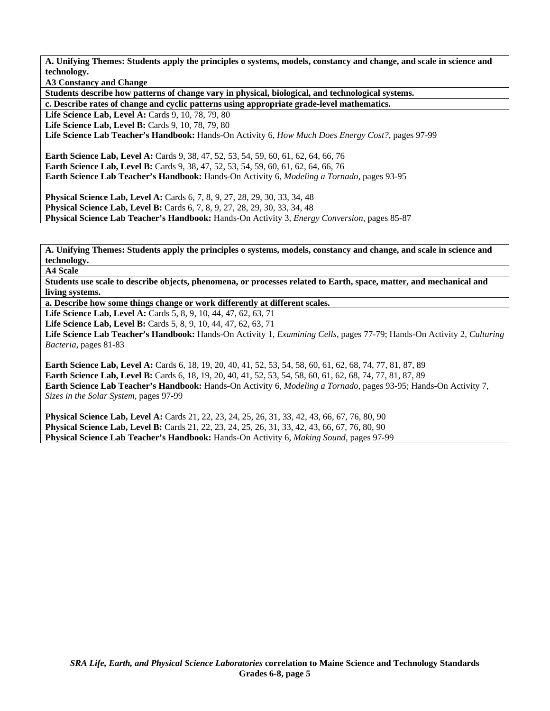**A3 Constancy and Change** 

**Students describe how patterns of change vary in physical, biological, and technological systems.** 

**c. Describe rates of change and cyclic patterns using appropriate grade-level mathematics.** 

Life Science Lab, Level A: Cards 9, 10, 78, 79, 80

**Life Science Lab, Level B: Cards 9, 10, 78, 79, 80** 

**Life Science Lab Teacher's Handbook:** Hands-On Activity 6, *How Much Does Energy Cost?,* pages 97-99

**Earth Science Lab, Level A:** Cards 9, 38, 47, 52, 53, 54, 59, 60, 61, 62, 64, 66, 76 **Earth Science Lab, Level B:** Cards 9, 38, 47, 52, 53, 54, 59, 60, 61, 62, 64, 66, 76 **Earth Science Lab Teacher's Handbook:** Hands-On Activity 6, *Modeling a Tornado,* pages 93-95

**Physical Science Lab, Level A:** Cards 6, 7, 8, 9, 27, 28, 29, 30, 33, 34, 48 **Physical Science Lab, Level B:** Cards 6, 7, 8, 9, 27, 28, 29, 30, 33, 34, 48 **Physical Science Lab Teacher's Handbook:** Hands-On Activity 3, *Energy Conversion,* pages 85-87

**A. Unifying Themes: Students apply the principles o systems, models, constancy and change, and scale in science and technology.** 

**A4 Scale** 

**Students use scale to describe objects, phenomena, or processes related to Earth, space, matter, and mechanical and living systems.** 

**a. Describe how some things change or work differently at different scales.** 

**Life Science Lab, Level A:** Cards 5, 8, 9, 10, 44, 47, 62, 63, 71

Life Science Lab, Level B: Cards 5, 8, 9, 10, 44, 47, 62, 63, 71

**Life Science Lab Teacher's Handbook:** Hands-On Activity 1, *Examining Cells,* pages 77-79; Hands-On Activity 2, *Culturing Bacteria,* pages 81-83

**Earth Science Lab, Level A:** Cards 6, 18, 19, 20, 40, 41, 52, 53, 54, 58, 60, 61, 62, 68, 74, 77, 81, 87, 89 **Earth Science Lab, Level B:** Cards 6, 18, 19, 20, 40, 41, 52, 53, 54, 58, 60, 61, 62, 68, 74, 77, 81, 87, 89 **Earth Science Lab Teacher's Handbook:** Hands-On Activity 6, *Modeling a Tornado,* pages 93-95; Hands-On Activity 7, *Sizes in the Solar System,* pages 97-99

**Physical Science Lab, Level A:** Cards 21, 22, 23, 24, 25, 26, 31, 33, 42, 43, 66, 67, 76, 80, 90 **Physical Science Lab, Level B:** Cards 21, 22, 23, 24, 25, 26, 31, 33, 42, 43, 66, 67, 76, 80, 90 **Physical Science Lab Teacher's Handbook:** Hands-On Activity 6, *Making Sound,* pages 97-99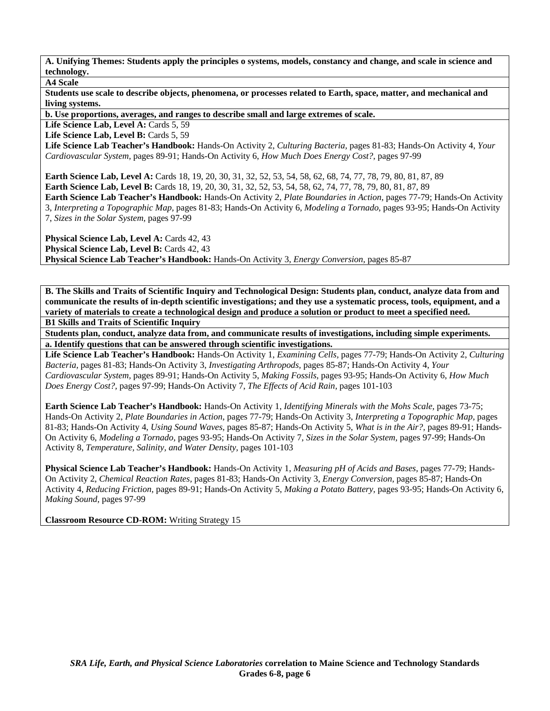## **A4 Scale**

**Students use scale to describe objects, phenomena, or processes related to Earth, space, matter, and mechanical and living systems.** 

**b. Use proportions, averages, and ranges to describe small and large extremes of scale.** 

Life Science Lab, Level A: Cards 5, 59

Life Science Lab, Level B: Cards 5, 59

**Life Science Lab Teacher's Handbook:** Hands-On Activity 2, *Culturing Bacteria,* pages 81-83; Hands-On Activity 4, *Your Cardiovascular System,* pages 89-91; Hands-On Activity 6, *How Much Does Energy Cost?,* pages 97-99

**Earth Science Lab, Level A:** Cards 18, 19, 20, 30, 31, 32, 52, 53, 54, 58, 62, 68, 74, 77, 78, 79, 80, 81, 87, 89 **Earth Science Lab, Level B:** Cards 18, 19, 20, 30, 31, 32, 52, 53, 54, 58, 62, 74, 77, 78, 79, 80, 81, 87, 89

**Earth Science Lab Teacher's Handbook:** Hands-On Activity 2, *Plate Boundaries in Action,* pages 77-79; Hands-On Activity 3, *Interpreting a Topographic Map,* pages 81-83; Hands-On Activity 6, *Modeling a Tornado,* pages 93-95; Hands-On Activity 7, *Sizes in the Solar System,* pages 97-99

Physical Science Lab, Level A: Cards 42, 43 **Physical Science Lab, Level B: Cards 42, 43 Physical Science Lab Teacher's Handbook:** Hands-On Activity 3, *Energy Conversion,* pages 85-87

**B. The Skills and Traits of Scientific Inquiry and Technological Design: Students plan, conduct, analyze data from and communicate the results of in-depth scientific investigations; and they use a systematic process, tools, equipment, and a variety of materials to create a technological design and produce a solution or product to meet a specified need. B1 Skills and Traits of Scientific Inquiry** 

**Students plan, conduct, analyze data from, and communicate results of investigations, including simple experiments. a. Identify questions that can be answered through scientific investigations.** 

**Life Science Lab Teacher's Handbook:** Hands-On Activity 1, *Examining Cells,* pages 77-79; Hands-On Activity 2, *Culturing Bacteria,* pages 81-83; Hands-On Activity 3, *Investigating Arthropods,* pages 85-87; Hands-On Activity 4, *Your Cardiovascular System,* pages 89-91; Hands-On Activity 5, *Making Fossils,* pages 93-95; Hands-On Activity 6, *How Much Does Energy Cost?,* pages 97-99; Hands-On Activity 7, *The Effects of Acid Rain,* pages 101-103

**Earth Science Lab Teacher's Handbook:** Hands-On Activity 1, *Identifying Minerals with the Mohs Scale,* pages 73-75; Hands-On Activity 2, *Plate Boundaries in Action,* pages 77-79; Hands-On Activity 3, *Interpreting a Topographic Map,* pages 81-83; Hands-On Activity 4, *Using Sound Waves,* pages 85-87; Hands-On Activity 5, *What is in the Air?,* pages 89-91; Hands-On Activity 6, *Modeling a Tornado,* pages 93-95; Hands-On Activity 7, *Sizes in the Solar System,* pages 97-99; Hands-On Activity 8, *Temperature, Salinity, and Water Density,* pages 101-103

**Physical Science Lab Teacher's Handbook:** Hands-On Activity 1, *Measuring pH of Acids and Bases,* pages 77-79; Hands-On Activity 2, *Chemical Reaction Rates,* pages 81-83; Hands-On Activity 3, *Energy Conversion,* pages 85-87; Hands-On Activity 4, *Reducing Friction,* pages 89-91; Hands-On Activity 5, *Making a Potato Battery,* pages 93-95; Hands-On Activity 6, *Making Sound,* pages 97-99

**Classroom Resource CD-ROM:** Writing Strategy 15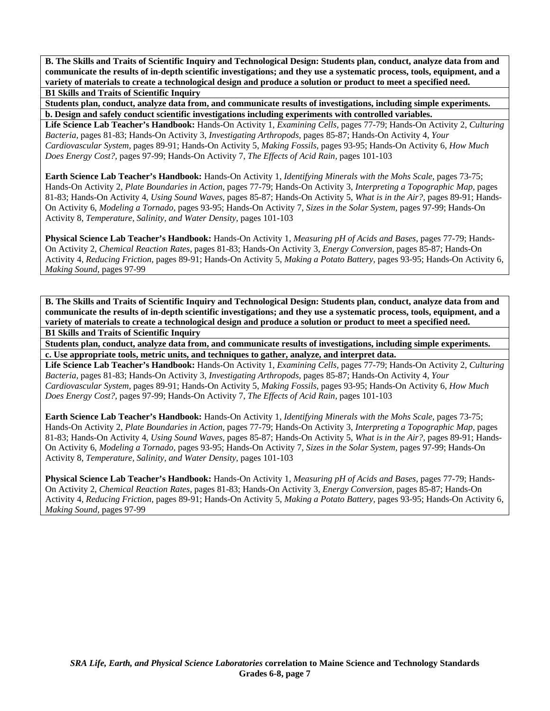**B. The Skills and Traits of Scientific Inquiry and Technological Design: Students plan, conduct, analyze data from and communicate the results of in-depth scientific investigations; and they use a systematic process, tools, equipment, and a variety of materials to create a technological design and produce a solution or product to meet a specified need. B1 Skills and Traits of Scientific Inquiry** 

**Students plan, conduct, analyze data from, and communicate results of investigations, including simple experiments. b. Design and safely conduct scientific investigations including experiments with controlled variables.** 

**Life Science Lab Teacher's Handbook:** Hands-On Activity 1, *Examining Cells,* pages 77-79; Hands-On Activity 2, *Culturing Bacteria,* pages 81-83; Hands-On Activity 3, *Investigating Arthropods,* pages 85-87; Hands-On Activity 4, *Your Cardiovascular System,* pages 89-91; Hands-On Activity 5, *Making Fossils,* pages 93-95; Hands-On Activity 6, *How Much Does Energy Cost?,* pages 97-99; Hands-On Activity 7, *The Effects of Acid Rain,* pages 101-103

**Earth Science Lab Teacher's Handbook:** Hands-On Activity 1, *Identifying Minerals with the Mohs Scale,* pages 73-75; Hands-On Activity 2, *Plate Boundaries in Action,* pages 77-79; Hands-On Activity 3, *Interpreting a Topographic Map,* pages 81-83; Hands-On Activity 4, *Using Sound Waves,* pages 85-87; Hands-On Activity 5, *What is in the Air?,* pages 89-91; Hands-On Activity 6, *Modeling a Tornado,* pages 93-95; Hands-On Activity 7, *Sizes in the Solar System,* pages 97-99; Hands-On Activity 8, *Temperature, Salinity, and Water Density,* pages 101-103

**Physical Science Lab Teacher's Handbook:** Hands-On Activity 1, *Measuring pH of Acids and Bases,* pages 77-79; Hands-On Activity 2, *Chemical Reaction Rates,* pages 81-83; Hands-On Activity 3, *Energy Conversion,* pages 85-87; Hands-On Activity 4, *Reducing Friction,* pages 89-91; Hands-On Activity 5, *Making a Potato Battery,* pages 93-95; Hands-On Activity 6, *Making Sound,* pages 97-99

**B. The Skills and Traits of Scientific Inquiry and Technological Design: Students plan, conduct, analyze data from and communicate the results of in-depth scientific investigations; and they use a systematic process, tools, equipment, and a variety of materials to create a technological design and produce a solution or product to meet a specified need. B1 Skills and Traits of Scientific Inquiry** 

**Students plan, conduct, analyze data from, and communicate results of investigations, including simple experiments. c. Use appropriate tools, metric units, and techniques to gather, analyze, and interpret data.** 

**Life Science Lab Teacher's Handbook:** Hands-On Activity 1, *Examining Cells,* pages 77-79; Hands-On Activity 2, *Culturing Bacteria,* pages 81-83; Hands-On Activity 3, *Investigating Arthropods,* pages 85-87; Hands-On Activity 4, *Your Cardiovascular System,* pages 89-91; Hands-On Activity 5, *Making Fossils,* pages 93-95; Hands-On Activity 6, *How Much Does Energy Cost?,* pages 97-99; Hands-On Activity 7, *The Effects of Acid Rain,* pages 101-103

**Earth Science Lab Teacher's Handbook:** Hands-On Activity 1, *Identifying Minerals with the Mohs Scale,* pages 73-75; Hands-On Activity 2, *Plate Boundaries in Action,* pages 77-79; Hands-On Activity 3, *Interpreting a Topographic Map,* pages 81-83; Hands-On Activity 4, *Using Sound Waves,* pages 85-87; Hands-On Activity 5, *What is in the Air?,* pages 89-91; Hands-On Activity 6, *Modeling a Tornado,* pages 93-95; Hands-On Activity 7, *Sizes in the Solar System,* pages 97-99; Hands-On Activity 8, *Temperature, Salinity, and Water Density,* pages 101-103

**Physical Science Lab Teacher's Handbook:** Hands-On Activity 1, *Measuring pH of Acids and Bases,* pages 77-79; Hands-On Activity 2, *Chemical Reaction Rates,* pages 81-83; Hands-On Activity 3, *Energy Conversion,* pages 85-87; Hands-On Activity 4, *Reducing Friction,* pages 89-91; Hands-On Activity 5, *Making a Potato Battery,* pages 93-95; Hands-On Activity 6, *Making Sound,* pages 97-99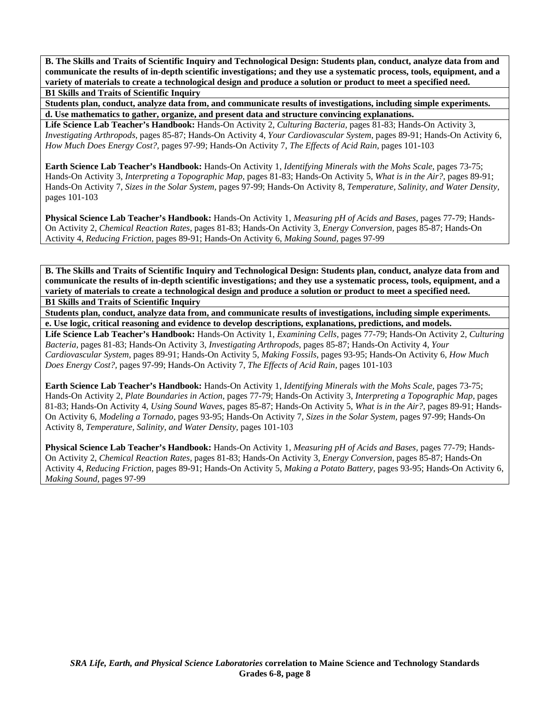**B. The Skills and Traits of Scientific Inquiry and Technological Design: Students plan, conduct, analyze data from and communicate the results of in-depth scientific investigations; and they use a systematic process, tools, equipment, and a variety of materials to create a technological design and produce a solution or product to meet a specified need. B1 Skills and Traits of Scientific Inquiry** 

**Students plan, conduct, analyze data from, and communicate results of investigations, including simple experiments. d. Use mathematics to gather, organize, and present data and structure convincing explanations.** 

**Life Science Lab Teacher's Handbook:** Hands-On Activity 2, *Culturing Bacteria,* pages 81-83; Hands-On Activity 3, *Investigating Arthropods,* pages 85-87; Hands-On Activity 4, *Your Cardiovascular System,* pages 89-91; Hands-On Activity 6, *How Much Does Energy Cost?,* pages 97-99; Hands-On Activity 7, *The Effects of Acid Rain,* pages 101-103

**Earth Science Lab Teacher's Handbook:** Hands-On Activity 1, *Identifying Minerals with the Mohs Scale,* pages 73-75; Hands-On Activity 3, *Interpreting a Topographic Map,* pages 81-83; Hands-On Activity 5, *What is in the Air?,* pages 89-91; Hands-On Activity 7, *Sizes in the Solar System,* pages 97-99; Hands-On Activity 8, *Temperature, Salinity, and Water Density,* pages 101-103

**Physical Science Lab Teacher's Handbook:** Hands-On Activity 1, *Measuring pH of Acids and Bases,* pages 77-79; Hands-On Activity 2, *Chemical Reaction Rates,* pages 81-83; Hands-On Activity 3, *Energy Conversion,* pages 85-87; Hands-On Activity 4, *Reducing Friction,* pages 89-91; Hands-On Activity 6, *Making Sound,* pages 97-99

**B. The Skills and Traits of Scientific Inquiry and Technological Design: Students plan, conduct, analyze data from and communicate the results of in-depth scientific investigations; and they use a systematic process, tools, equipment, and a variety of materials to create a technological design and produce a solution or product to meet a specified need. B1 Skills and Traits of Scientific Inquiry** 

**Students plan, conduct, analyze data from, and communicate results of investigations, including simple experiments. e. Use logic, critical reasoning and evidence to develop descriptions, explanations, predictions, and models.** 

**Life Science Lab Teacher's Handbook:** Hands-On Activity 1, *Examining Cells,* pages 77-79; Hands-On Activity 2, *Culturing Bacteria,* pages 81-83; Hands-On Activity 3, *Investigating Arthropods,* pages 85-87; Hands-On Activity 4, *Your Cardiovascular System,* pages 89-91; Hands-On Activity 5, *Making Fossils,* pages 93-95; Hands-On Activity 6, *How Much Does Energy Cost?,* pages 97-99; Hands-On Activity 7, *The Effects of Acid Rain,* pages 101-103

**Earth Science Lab Teacher's Handbook:** Hands-On Activity 1, *Identifying Minerals with the Mohs Scale,* pages 73-75; Hands-On Activity 2, *Plate Boundaries in Action,* pages 77-79; Hands-On Activity 3, *Interpreting a Topographic Map,* pages 81-83; Hands-On Activity 4, *Using Sound Waves,* pages 85-87; Hands-On Activity 5, *What is in the Air?,* pages 89-91; Hands-On Activity 6, *Modeling a Tornado,* pages 93-95; Hands-On Activity 7, *Sizes in the Solar System,* pages 97-99; Hands-On Activity 8, *Temperature, Salinity, and Water Density,* pages 101-103

**Physical Science Lab Teacher's Handbook:** Hands-On Activity 1, *Measuring pH of Acids and Bases,* pages 77-79; Hands-On Activity 2, *Chemical Reaction Rates,* pages 81-83; Hands-On Activity 3, *Energy Conversion,* pages 85-87; Hands-On Activity 4, *Reducing Friction,* pages 89-91; Hands-On Activity 5, *Making a Potato Battery,* pages 93-95; Hands-On Activity 6, *Making Sound,* pages 97-99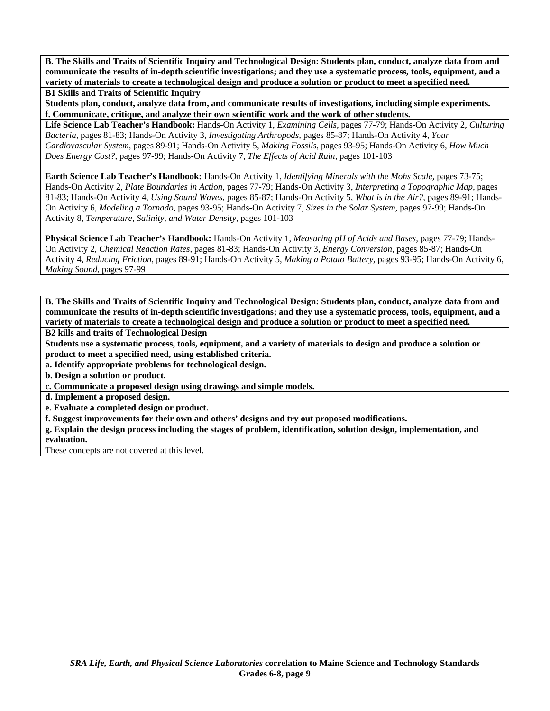**B. The Skills and Traits of Scientific Inquiry and Technological Design: Students plan, conduct, analyze data from and communicate the results of in-depth scientific investigations; and they use a systematic process, tools, equipment, and a variety of materials to create a technological design and produce a solution or product to meet a specified need. B1 Skills and Traits of Scientific Inquiry** 

**Students plan, conduct, analyze data from, and communicate results of investigations, including simple experiments. f. Communicate, critique, and analyze their own scientific work and the work of other students.** 

**Life Science Lab Teacher's Handbook:** Hands-On Activity 1, *Examining Cells,* pages 77-79; Hands-On Activity 2, *Culturing Bacteria,* pages 81-83; Hands-On Activity 3, *Investigating Arthropods,* pages 85-87; Hands-On Activity 4, *Your Cardiovascular System,* pages 89-91; Hands-On Activity 5, *Making Fossils,* pages 93-95; Hands-On Activity 6, *How Much Does Energy Cost?,* pages 97-99; Hands-On Activity 7, *The Effects of Acid Rain,* pages 101-103

**Earth Science Lab Teacher's Handbook:** Hands-On Activity 1, *Identifying Minerals with the Mohs Scale,* pages 73-75; Hands-On Activity 2, *Plate Boundaries in Action,* pages 77-79; Hands-On Activity 3, *Interpreting a Topographic Map,* pages 81-83; Hands-On Activity 4, *Using Sound Waves,* pages 85-87; Hands-On Activity 5, *What is in the Air?,* pages 89-91; Hands-On Activity 6, *Modeling a Tornado,* pages 93-95; Hands-On Activity 7, *Sizes in the Solar System,* pages 97-99; Hands-On Activity 8, *Temperature, Salinity, and Water Density,* pages 101-103

**Physical Science Lab Teacher's Handbook:** Hands-On Activity 1, *Measuring pH of Acids and Bases,* pages 77-79; Hands-On Activity 2, *Chemical Reaction Rates,* pages 81-83; Hands-On Activity 3, *Energy Conversion,* pages 85-87; Hands-On Activity 4, *Reducing Friction,* pages 89-91; Hands-On Activity 5, *Making a Potato Battery,* pages 93-95; Hands-On Activity 6, *Making Sound,* pages 97-99

**B. The Skills and Traits of Scientific Inquiry and Technological Design: Students plan, conduct, analyze data from and communicate the results of in-depth scientific investigations; and they use a systematic process, tools, equipment, and a variety of materials to create a technological design and produce a solution or product to meet a specified need. B2 kills and traits of Technological Design** 

**Students use a systematic process, tools, equipment, and a variety of materials to design and produce a solution or product to meet a specified need, using established criteria.** 

**a. Identify appropriate problems for technological design.** 

**b. Design a solution or product.** 

**c. Communicate a proposed design using drawings and simple models.** 

**d. Implement a proposed design.** 

**e. Evaluate a completed design or product.** 

**f. Suggest improvements for their own and others' designs and try out proposed modifications.** 

**g. Explain the design process including the stages of problem, identification, solution design, implementation, and evaluation.** 

These concepts are not covered at this level.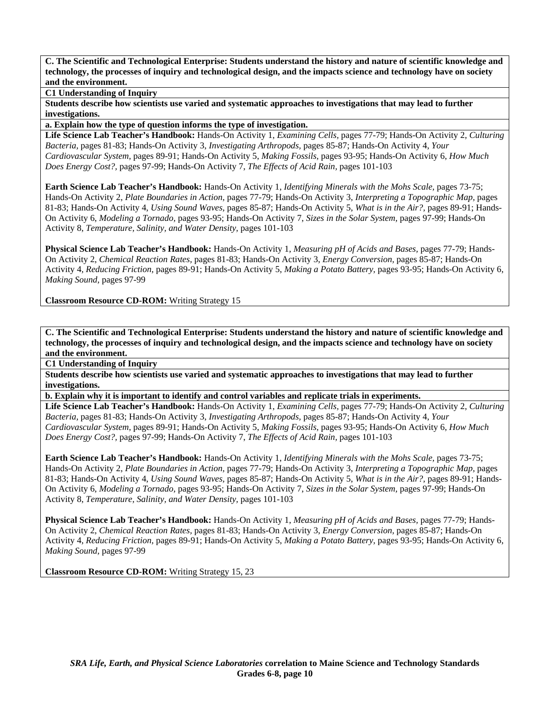**C1 Understanding of Inquiry** 

**Students describe how scientists use varied and systematic approaches to investigations that may lead to further investigations.** 

**a. Explain how the type of question informs the type of investigation.** 

**Life Science Lab Teacher's Handbook:** Hands-On Activity 1, *Examining Cells,* pages 77-79; Hands-On Activity 2, *Culturing Bacteria,* pages 81-83; Hands-On Activity 3, *Investigating Arthropods,* pages 85-87; Hands-On Activity 4, *Your Cardiovascular System,* pages 89-91; Hands-On Activity 5, *Making Fossils,* pages 93-95; Hands-On Activity 6, *How Much Does Energy Cost?,* pages 97-99; Hands-On Activity 7, *The Effects of Acid Rain,* pages 101-103

**Earth Science Lab Teacher's Handbook:** Hands-On Activity 1, *Identifying Minerals with the Mohs Scale,* pages 73-75; Hands-On Activity 2, *Plate Boundaries in Action,* pages 77-79; Hands-On Activity 3, *Interpreting a Topographic Map,* pages 81-83; Hands-On Activity 4, *Using Sound Waves,* pages 85-87; Hands-On Activity 5, *What is in the Air?,* pages 89-91; Hands-On Activity 6, *Modeling a Tornado,* pages 93-95; Hands-On Activity 7, *Sizes in the Solar System,* pages 97-99; Hands-On Activity 8, *Temperature, Salinity, and Water Density,* pages 101-103

**Physical Science Lab Teacher's Handbook:** Hands-On Activity 1, *Measuring pH of Acids and Bases,* pages 77-79; Hands-On Activity 2, *Chemical Reaction Rates,* pages 81-83; Hands-On Activity 3, *Energy Conversion,* pages 85-87; Hands-On Activity 4, *Reducing Friction,* pages 89-91; Hands-On Activity 5, *Making a Potato Battery,* pages 93-95; Hands-On Activity 6, *Making Sound,* pages 97-99

**Classroom Resource CD-ROM:** Writing Strategy 15

**C. The Scientific and Technological Enterprise: Students understand the history and nature of scientific knowledge and technology, the processes of inquiry and technological design, and the impacts science and technology have on society and the environment.** 

**C1 Understanding of Inquiry** 

**Students describe how scientists use varied and systematic approaches to investigations that may lead to further investigations.** 

**b. Explain why it is important to identify and control variables and replicate trials in experiments.** 

**Life Science Lab Teacher's Handbook:** Hands-On Activity 1, *Examining Cells,* pages 77-79; Hands-On Activity 2, *Culturing Bacteria,* pages 81-83; Hands-On Activity 3, *Investigating Arthropods,* pages 85-87; Hands-On Activity 4, *Your Cardiovascular System,* pages 89-91; Hands-On Activity 5, *Making Fossils,* pages 93-95; Hands-On Activity 6, *How Much Does Energy Cost?,* pages 97-99; Hands-On Activity 7, *The Effects of Acid Rain,* pages 101-103

**Earth Science Lab Teacher's Handbook:** Hands-On Activity 1, *Identifying Minerals with the Mohs Scale,* pages 73-75; Hands-On Activity 2, *Plate Boundaries in Action,* pages 77-79; Hands-On Activity 3, *Interpreting a Topographic Map,* pages 81-83; Hands-On Activity 4, *Using Sound Waves,* pages 85-87; Hands-On Activity 5, *What is in the Air?,* pages 89-91; Hands-On Activity 6, *Modeling a Tornado,* pages 93-95; Hands-On Activity 7, *Sizes in the Solar System,* pages 97-99; Hands-On Activity 8, *Temperature, Salinity, and Water Density,* pages 101-103

**Physical Science Lab Teacher's Handbook:** Hands-On Activity 1, *Measuring pH of Acids and Bases,* pages 77-79; Hands-On Activity 2, *Chemical Reaction Rates,* pages 81-83; Hands-On Activity 3, *Energy Conversion,* pages 85-87; Hands-On Activity 4, *Reducing Friction,* pages 89-91; Hands-On Activity 5, *Making a Potato Battery,* pages 93-95; Hands-On Activity 6, *Making Sound,* pages 97-99

**Classroom Resource CD-ROM:** Writing Strategy 15, 23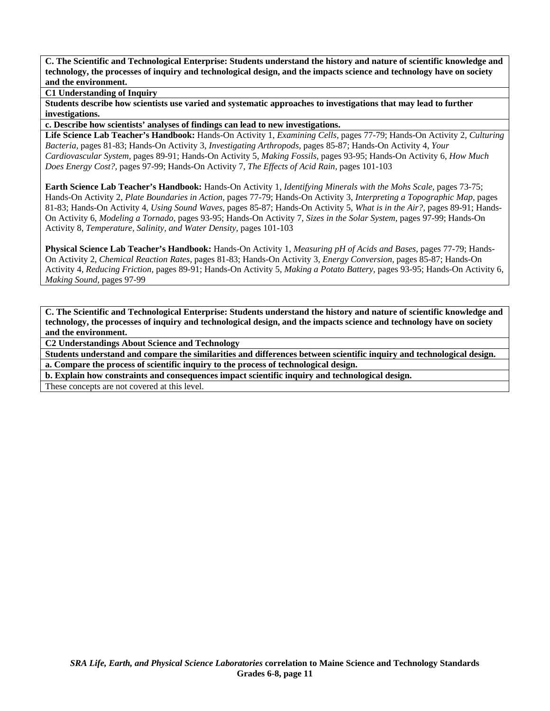### **C1 Understanding of Inquiry**

**Students describe how scientists use varied and systematic approaches to investigations that may lead to further investigations.** 

**c. Describe how scientists' analyses of findings can lead to new investigations.** 

**Life Science Lab Teacher's Handbook:** Hands-On Activity 1, *Examining Cells,* pages 77-79; Hands-On Activity 2, *Culturing Bacteria,* pages 81-83; Hands-On Activity 3, *Investigating Arthropods,* pages 85-87; Hands-On Activity 4, *Your Cardiovascular System,* pages 89-91; Hands-On Activity 5, *Making Fossils,* pages 93-95; Hands-On Activity 6, *How Much Does Energy Cost?,* pages 97-99; Hands-On Activity 7, *The Effects of Acid Rain,* pages 101-103

**Earth Science Lab Teacher's Handbook:** Hands-On Activity 1, *Identifying Minerals with the Mohs Scale,* pages 73-75; Hands-On Activity 2, *Plate Boundaries in Action,* pages 77-79; Hands-On Activity 3, *Interpreting a Topographic Map,* pages 81-83; Hands-On Activity 4, *Using Sound Waves,* pages 85-87; Hands-On Activity 5, *What is in the Air?,* pages 89-91; Hands-On Activity 6, *Modeling a Tornado,* pages 93-95; Hands-On Activity 7, *Sizes in the Solar System,* pages 97-99; Hands-On Activity 8, *Temperature, Salinity, and Water Density,* pages 101-103

**Physical Science Lab Teacher's Handbook:** Hands-On Activity 1, *Measuring pH of Acids and Bases,* pages 77-79; Hands-On Activity 2, *Chemical Reaction Rates,* pages 81-83; Hands-On Activity 3, *Energy Conversion,* pages 85-87; Hands-On Activity 4, *Reducing Friction,* pages 89-91; Hands-On Activity 5, *Making a Potato Battery,* pages 93-95; Hands-On Activity 6, *Making Sound,* pages 97-99

**C. The Scientific and Technological Enterprise: Students understand the history and nature of scientific knowledge and technology, the processes of inquiry and technological design, and the impacts science and technology have on society and the environment.** 

**C2 Understandings About Science and Technology** 

**Students understand and compare the similarities and differences between scientific inquiry and technological design. a. Compare the process of scientific inquiry to the process of technological design.** 

**b. Explain how constraints and consequences impact scientific inquiry and technological design.** 

These concepts are not covered at this level.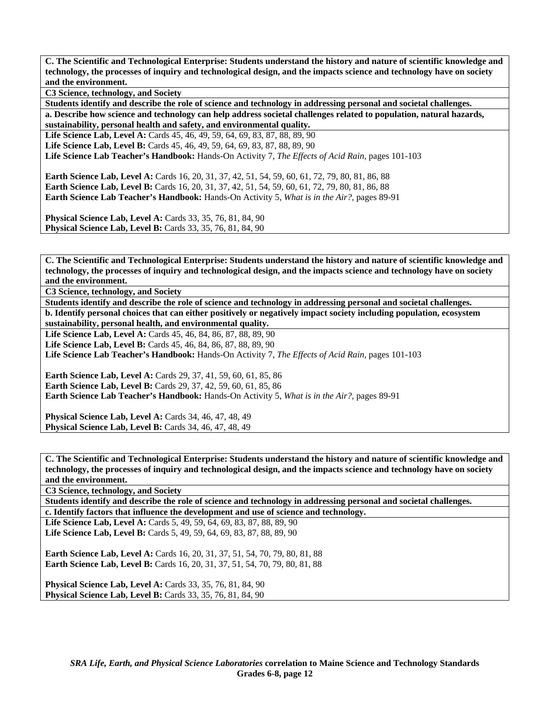**C3 Science, technology, and Society** 

**Students identify and describe the role of science and technology in addressing personal and societal challenges. a. Describe how science and technology can help address societal challenges related to population, natural hazards,** 

**sustainability, personal health and safety, and environmental quality.**  Life Science Lab, Level A: Cards 45, 46, 49, 59, 64, 69, 83, 87, 88, 89, 90

Life Science Lab, Level B: Cards 45, 46, 49, 59, 64, 69, 83, 87, 88, 89, 90

**Life Science Lab Teacher's Handbook:** Hands-On Activity 7, *The Effects of Acid Rain,* pages 101-103

**Earth Science Lab, Level A:** Cards 16, 20, 31, 37, 42, 51, 54, 59, 60, 61, 72, 79, 80, 81, 86, 88 **Earth Science Lab, Level B:** Cards 16, 20, 31, 37, 42, 51, 54, 59, 60, 61, 72, 79, 80, 81, 86, 88 **Earth Science Lab Teacher's Handbook:** Hands-On Activity 5, *What is in the Air?,* pages 89-91

**Physical Science Lab, Level A: Cards 33, 35, 76, 81, 84, 90 Physical Science Lab, Level B:** Cards 33, 35, 76, 81, 84, 90

**C. The Scientific and Technological Enterprise: Students understand the history and nature of scientific knowledge and technology, the processes of inquiry and technological design, and the impacts science and technology have on society and the environment.** 

**C3 Science, technology, and Society** 

**Students identify and describe the role of science and technology in addressing personal and societal challenges. b. Identify personal choices that can either positively or negatively impact society including population, ecosystem** 

**sustainability, personal health, and environmental quality.** 

**Life Science Lab, Level A:** Cards 45, 46, 84, 86, 87, 88, 89, 90 **Life Science Lab, Level B:** Cards 45, 46, 84, 86, 87, 88, 89, 90

**Life Science Lab Teacher's Handbook:** Hands-On Activity 7, *The Effects of Acid Rain,* pages 101-103

**Earth Science Lab, Level A:** Cards 29, 37, 41, 59, 60, 61, 85, 86 **Earth Science Lab, Level B:** Cards 29, 37, 42, 59, 60, 61, 85, 86 **Earth Science Lab Teacher's Handbook:** Hands-On Activity 5, *What is in the Air?,* pages 89-91

**Physical Science Lab, Level A:** Cards 34, 46, 47, 48, 49 **Physical Science Lab, Level B: Cards 34, 46, 47, 48, 49** 

**C. The Scientific and Technological Enterprise: Students understand the history and nature of scientific knowledge and technology, the processes of inquiry and technological design, and the impacts science and technology have on society and the environment.** 

**C3 Science, technology, and Society** 

**Students identify and describe the role of science and technology in addressing personal and societal challenges. c. Identify factors that influence the development and use of science and technology.** 

Life Science Lab, Level A: Cards 5, 49, 59, 64, 69, 83, 87, 88, 89, 90 Life Science Lab, Level B: Cards 5, 49, 59, 64, 69, 83, 87, 88, 89, 90

**Earth Science Lab, Level A: Cards 16, 20, 31, 37, 51, 54, 70, 79, 80, 81, 88 Earth Science Lab, Level B:** Cards 16, 20, 31, 37, 51, 54, 70, 79, 80, 81, 88

**Physical Science Lab, Level A: Cards 33, 35, 76, 81, 84, 90 Physical Science Lab, Level B:** Cards 33, 35, 76, 81, 84, 90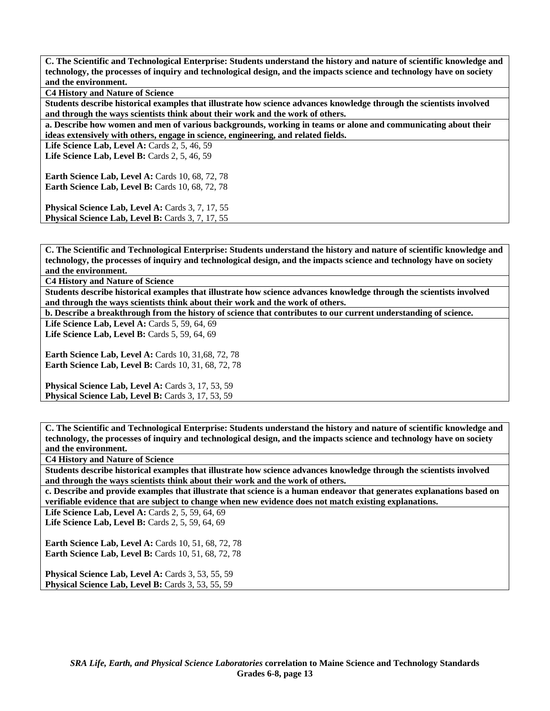**C4 History and Nature of Science** 

**Students describe historical examples that illustrate how science advances knowledge through the scientists involved and through the ways scientists think about their work and the work of others.** 

**a. Describe how women and men of various backgrounds, working in teams or alone and communicating about their ideas extensively with others, engage in science, engineering, and related fields.** 

Life Science Lab, Level A: Cards 2, 5, 46, 59

Life Science Lab, Level B: Cards 2, 5, 46, 59

**Earth Science Lab, Level A: Cards 10, 68, 72, 78 Earth Science Lab, Level B: Cards 10, 68, 72, 78** 

Physical Science Lab, Level A: Cards 3, 7, 17, 55 Physical Science Lab, Level B: Cards 3, 7, 17, 55

**C. The Scientific and Technological Enterprise: Students understand the history and nature of scientific knowledge and technology, the processes of inquiry and technological design, and the impacts science and technology have on society and the environment.** 

**C4 History and Nature of Science** 

**Students describe historical examples that illustrate how science advances knowledge through the scientists involved and through the ways scientists think about their work and the work of others.** 

**b. Describe a breakthrough from the history of science that contributes to our current understanding of science.** 

Life Science Lab, Level A: Cards 5, 59, 64, 69

Life Science Lab, Level B: Cards 5, 59, 64, 69

**Earth Science Lab, Level A: Cards 10, 31,68, 72, 78 Earth Science Lab, Level B: Cards 10, 31, 68, 72, 78** 

Physical Science Lab, Level A: Cards 3, 17, 53, 59 Physical Science Lab, Level B: Cards 3, 17, 53, 59

**C. The Scientific and Technological Enterprise: Students understand the history and nature of scientific knowledge and technology, the processes of inquiry and technological design, and the impacts science and technology have on society and the environment.** 

**C4 History and Nature of Science** 

**Students describe historical examples that illustrate how science advances knowledge through the scientists involved and through the ways scientists think about their work and the work of others.** 

**c. Describe and provide examples that illustrate that science is a human endeavor that generates explanations based on verifiable evidence that are subject to change when new evidence does not match existing explanations.** 

**Life Science Lab, Level A: Cards 2, 5, 59, 64, 69** 

Life Science Lab, Level B: Cards 2, 5, 59, 64, 69

**Earth Science Lab, Level A: Cards 10, 51, 68, 72, 78 Earth Science Lab, Level B: Cards 10, 51, 68, 72, 78** 

**Physical Science Lab, Level A: Cards 3, 53, 55, 59 Physical Science Lab, Level B:** Cards 3, 53, 55, 59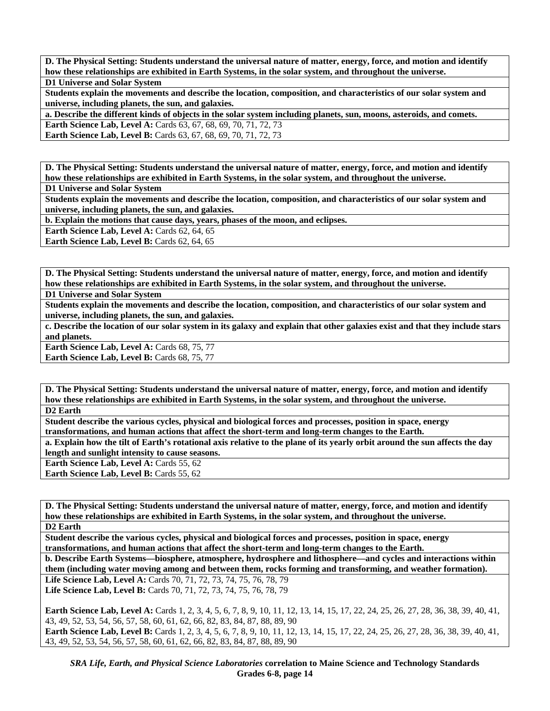**D. The Physical Setting: Students understand the universal nature of matter, energy, force, and motion and identify how these relationships are exhibited in Earth Systems, in the solar system, and throughout the universe. D1 Universe and Solar System** 

**Students explain the movements and describe the location, composition, and characteristics of our solar system and universe, including planets, the sun, and galaxies.** 

**a. Describe the different kinds of objects in the solar system including planets, sun, moons, asteroids, and comets. Earth Science Lab, Level A:** Cards 63, 67, 68, 69, 70, 71, 72, 73

**Earth Science Lab, Level B:** Cards 63, 67, 68, 69, 70, 71, 72, 73

**D. The Physical Setting: Students understand the universal nature of matter, energy, force, and motion and identify how these relationships are exhibited in Earth Systems, in the solar system, and throughout the universe.** 

**D1 Universe and Solar System** 

**Students explain the movements and describe the location, composition, and characteristics of our solar system and universe, including planets, the sun, and galaxies.** 

**b. Explain the motions that cause days, years, phases of the moon, and eclipses.** 

**Earth Science Lab, Level A: Cards 62, 64, 65** 

**Earth Science Lab, Level B: Cards 62, 64, 65** 

**D. The Physical Setting: Students understand the universal nature of matter, energy, force, and motion and identify how these relationships are exhibited in Earth Systems, in the solar system, and throughout the universe.** 

**D1 Universe and Solar System** 

**Students explain the movements and describe the location, composition, and characteristics of our solar system and universe, including planets, the sun, and galaxies.** 

**c. Describe the location of our solar system in its galaxy and explain that other galaxies exist and that they include stars and planets.** 

Earth Science Lab, Level A: Cards 68, 75, 77

**Earth Science Lab, Level B: Cards 68, 75, 77** 

**D. The Physical Setting: Students understand the universal nature of matter, energy, force, and motion and identify how these relationships are exhibited in Earth Systems, in the solar system, and throughout the universe. D2 Earth** 

**Student describe the various cycles, physical and biological forces and processes, position in space, energy transformations, and human actions that affect the short-term and long-term changes to the Earth.** 

**a. Explain how the tilt of Earth's rotational axis relative to the plane of its yearly orbit around the sun affects the day length and sunlight intensity to cause seasons.** 

Earth Science Lab, Level A: Cards 55, 62 **Earth Science Lab, Level B: Cards 55, 62** 

**D. The Physical Setting: Students understand the universal nature of matter, energy, force, and motion and identify how these relationships are exhibited in Earth Systems, in the solar system, and throughout the universe. D2 Earth** 

**Student describe the various cycles, physical and biological forces and processes, position in space, energy transformations, and human actions that affect the short-term and long-term changes to the Earth.** 

**b. Describe Earth Systems—biosphere, atmosphere, hydrosphere and lithosphere—and cycles and interactions within them (including water moving among and between them, rocks forming and transforming, and weather formation). Life Science Lab, Level A:** Cards 70, 71, 72, 73, 74, 75, 76, 78, 79

**Life Science Lab, Level B:** Cards 70, 71, 72, 73, 74, 75, 76, 78, 79

**Earth Science Lab, Level A:** Cards 1, 2, 3, 4, 5, 6, 7, 8, 9, 10, 11, 12, 13, 14, 15, 17, 22, 24, 25, 26, 27, 28, 36, 38, 39, 40, 41, 43, 49, 52, 53, 54, 56, 57, 58, 60, 61, 62, 66, 82, 83, 84, 87, 88, 89, 90 **Earth Science Lab, Level B:** Cards 1, 2, 3, 4, 5, 6, 7, 8, 9, 10, 11, 12, 13, 14, 15, 17, 22, 24, 25, 26, 27, 28, 36, 38, 39, 40, 41, 43, 49, 52, 53, 54, 56, 57, 58, 60, 61, 62, 66, 82, 83, 84, 87, 88, 89, 90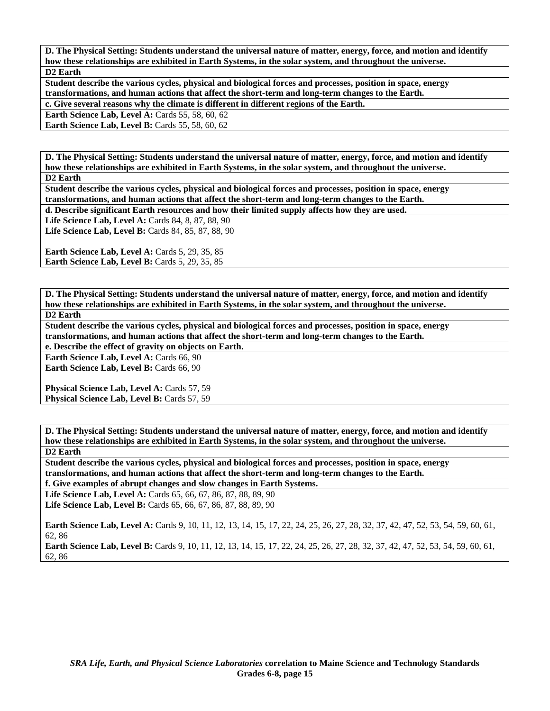**D. The Physical Setting: Students understand the universal nature of matter, energy, force, and motion and identify how these relationships are exhibited in Earth Systems, in the solar system, and throughout the universe. D2 Earth** 

**Student describe the various cycles, physical and biological forces and processes, position in space, energy transformations, and human actions that affect the short-term and long-term changes to the Earth.** 

**c. Give several reasons why the climate is different in different regions of the Earth.** 

**Earth Science Lab, Level A: Cards 55, 58, 60, 62** 

**Earth Science Lab, Level B: Cards 55, 58, 60, 62** 

**D. The Physical Setting: Students understand the universal nature of matter, energy, force, and motion and identify how these relationships are exhibited in Earth Systems, in the solar system, and throughout the universe. D2 Earth** 

**Student describe the various cycles, physical and biological forces and processes, position in space, energy transformations, and human actions that affect the short-term and long-term changes to the Earth.** 

**d. Describe significant Earth resources and how their limited supply affects how they are used.** 

**Life Science Lab, Level A: Cards 84, 8, 87, 88, 90 Life Science Lab, Level B: Cards 84, 85, 87, 88, 90** 

**Earth Science Lab, Level A: Cards 5, 29, 35, 85 Earth Science Lab, Level B: Cards 5, 29, 35, 85** 

**D. The Physical Setting: Students understand the universal nature of matter, energy, force, and motion and identify how these relationships are exhibited in Earth Systems, in the solar system, and throughout the universe. D2 Earth** 

**Student describe the various cycles, physical and biological forces and processes, position in space, energy transformations, and human actions that affect the short-term and long-term changes to the Earth.** 

**e. Describe the effect of gravity on objects on Earth.** 

**Earth Science Lab, Level A: Cards 66, 90 Earth Science Lab, Level B: Cards 66, 90** 

**Physical Science Lab, Level A: Cards 57, 59** Physical Science Lab, Level B: Cards 57, 59

**D. The Physical Setting: Students understand the universal nature of matter, energy, force, and motion and identify how these relationships are exhibited in Earth Systems, in the solar system, and throughout the universe. D2 Earth** 

**Student describe the various cycles, physical and biological forces and processes, position in space, energy transformations, and human actions that affect the short-term and long-term changes to the Earth.** 

**f. Give examples of abrupt changes and slow changes in Earth Systems.** 

**Life Science Lab, Level A:** Cards 65, 66, 67, 86, 87, 88, 89, 90 **Life Science Lab, Level B:** Cards 65, 66, 67, 86, 87, 88, 89, 90

**Earth Science Lab, Level A:** Cards 9, 10, 11, 12, 13, 14, 15, 17, 22, 24, 25, 26, 27, 28, 32, 37, 42, 47, 52, 53, 54, 59, 60, 61, 62, 86

**Earth Science Lab, Level B:** Cards 9, 10, 11, 12, 13, 14, 15, 17, 22, 24, 25, 26, 27, 28, 32, 37, 42, 47, 52, 53, 54, 59, 60, 61, 62, 86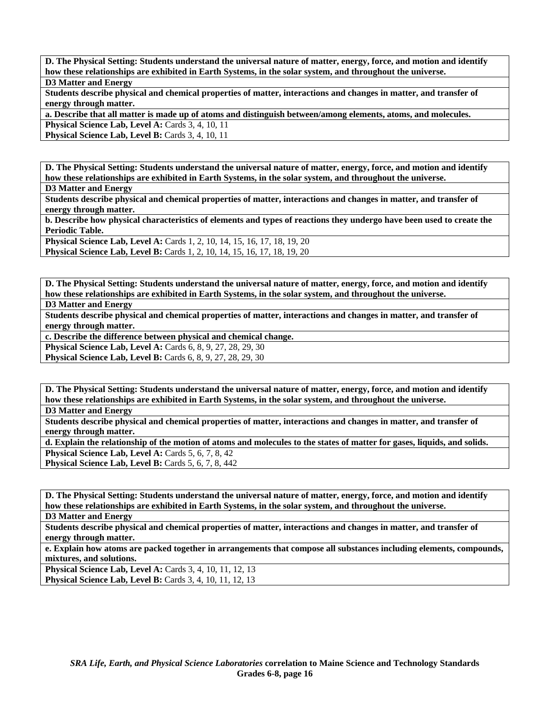**D. The Physical Setting: Students understand the universal nature of matter, energy, force, and motion and identify how these relationships are exhibited in Earth Systems, in the solar system, and throughout the universe. D3 Matter and Energy** 

**Students describe physical and chemical properties of matter, interactions and changes in matter, and transfer of energy through matter.** 

**a. Describe that all matter is made up of atoms and distinguish between/among elements, atoms, and molecules.** 

**Physical Science Lab, Level A: Cards 3, 4, 10, 11** 

**Physical Science Lab, Level B: Cards 3, 4, 10, 11** 

**D. The Physical Setting: Students understand the universal nature of matter, energy, force, and motion and identify how these relationships are exhibited in Earth Systems, in the solar system, and throughout the universe.** 

**D3 Matter and Energy** 

**Students describe physical and chemical properties of matter, interactions and changes in matter, and transfer of energy through matter.** 

**b. Describe how physical characteristics of elements and types of reactions they undergo have been used to create the Periodic Table.** 

**Physical Science Lab, Level A: Cards 1, 2, 10, 14, 15, 16, 17, 18, 19, 20 Physical Science Lab, Level B:** Cards 1, 2, 10, 14, 15, 16, 17, 18, 19, 20

**D. The Physical Setting: Students understand the universal nature of matter, energy, force, and motion and identify how these relationships are exhibited in Earth Systems, in the solar system, and throughout the universe. D3 Matter and Energy** 

**Students describe physical and chemical properties of matter, interactions and changes in matter, and transfer of energy through matter.** 

**c. Describe the difference between physical and chemical change.** 

**Physical Science Lab, Level A: Cards 6, 8, 9, 27, 28, 29, 30** 

**Physical Science Lab, Level B:** Cards 6, 8, 9, 27, 28, 29, 30

**D. The Physical Setting: Students understand the universal nature of matter, energy, force, and motion and identify how these relationships are exhibited in Earth Systems, in the solar system, and throughout the universe.** 

**D3 Matter and Energy** 

**Students describe physical and chemical properties of matter, interactions and changes in matter, and transfer of energy through matter.** 

**d. Explain the relationship of the motion of atoms and molecules to the states of matter for gases, liquids, and solids. Physical Science Lab, Level A: Cards 5, 6, 7, 8, 42 Physical Science Lab, Level B: Cards 5, 6, 7, 8, 442** 

**D. The Physical Setting: Students understand the universal nature of matter, energy, force, and motion and identify how these relationships are exhibited in Earth Systems, in the solar system, and throughout the universe.** 

**D3 Matter and Energy** 

**Students describe physical and chemical properties of matter, interactions and changes in matter, and transfer of energy through matter.** 

**e. Explain how atoms are packed together in arrangements that compose all substances including elements, compounds, mixtures, and solutions.** 

**Physical Science Lab, Level A: Cards 3, 4, 10, 11, 12, 13 Physical Science Lab, Level B:** Cards 3, 4, 10, 11, 12, 13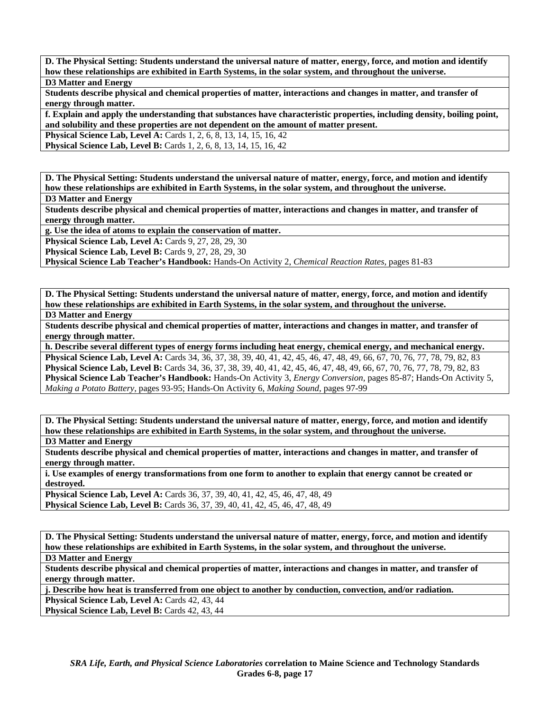**D. The Physical Setting: Students understand the universal nature of matter, energy, force, and motion and identify how these relationships are exhibited in Earth Systems, in the solar system, and throughout the universe. D3 Matter and Energy** 

**Students describe physical and chemical properties of matter, interactions and changes in matter, and transfer of energy through matter.** 

**f. Explain and apply the understanding that substances have characteristic properties, including density, boiling point, and solubility and these properties are not dependent on the amount of matter present.** 

**Physical Science Lab, Level A: Cards 1, 2, 6, 8, 13, 14, 15, 16, 42** 

**Physical Science Lab, Level B:** Cards 1, 2, 6, 8, 13, 14, 15, 16, 42

**D. The Physical Setting: Students understand the universal nature of matter, energy, force, and motion and identify how these relationships are exhibited in Earth Systems, in the solar system, and throughout the universe.** 

**D3 Matter and Energy** 

**Students describe physical and chemical properties of matter, interactions and changes in matter, and transfer of energy through matter.** 

**g. Use the idea of atoms to explain the conservation of matter.** 

**Physical Science Lab, Level A: Cards 9, 27, 28, 29, 30** 

**Physical Science Lab, Level B: Cards 9, 27, 28, 29, 30** 

**Physical Science Lab Teacher's Handbook:** Hands-On Activity 2, *Chemical Reaction Rates,* pages 81-83

**D. The Physical Setting: Students understand the universal nature of matter, energy, force, and motion and identify how these relationships are exhibited in Earth Systems, in the solar system, and throughout the universe. D3 Matter and Energy** 

**Students describe physical and chemical properties of matter, interactions and changes in matter, and transfer of energy through matter.** 

**h. Describe several different types of energy forms including heat energy, chemical energy, and mechanical energy. Physical Science Lab, Level A:** Cards 34, 36, 37, 38, 39, 40, 41, 42, 45, 46, 47, 48, 49, 66, 67, 70, 76, 77, 78, 79, 82, 83 **Physical Science Lab, Level B:** Cards 34, 36, 37, 38, 39, 40, 41, 42, 45, 46, 47, 48, 49, 66, 67, 70, 76, 77, 78, 79, 82, 83 **Physical Science Lab Teacher's Handbook:** Hands-On Activity 3, *Energy Conversion,* pages 85-87; Hands-On Activity 5, *Making a Potato Battery,* pages 93-95; Hands-On Activity 6, *Making Sound,* pages 97-99

**D. The Physical Setting: Students understand the universal nature of matter, energy, force, and motion and identify how these relationships are exhibited in Earth Systems, in the solar system, and throughout the universe. D3 Matter and Energy** 

**Students describe physical and chemical properties of matter, interactions and changes in matter, and transfer of** 

**energy through matter.** 

**i. Use examples of energy transformations from one form to another to explain that energy cannot be created or destroyed.** 

**Physical Science Lab, Level A:** Cards 36, 37, 39, 40, 41, 42, 45, 46, 47, 48, 49 **Physical Science Lab, Level B:** Cards 36, 37, 39, 40, 41, 42, 45, 46, 47, 48, 49

**D. The Physical Setting: Students understand the universal nature of matter, energy, force, and motion and identify how these relationships are exhibited in Earth Systems, in the solar system, and throughout the universe.** 

**D3 Matter and Energy** 

**Students describe physical and chemical properties of matter, interactions and changes in matter, and transfer of energy through matter.** 

**j. Describe how heat is transferred from one object to another by conduction, convection, and/or radiation.** 

**Physical Science Lab, Level A: Cards 42, 43, 44** 

**Physical Science Lab, Level B: Cards 42, 43, 44**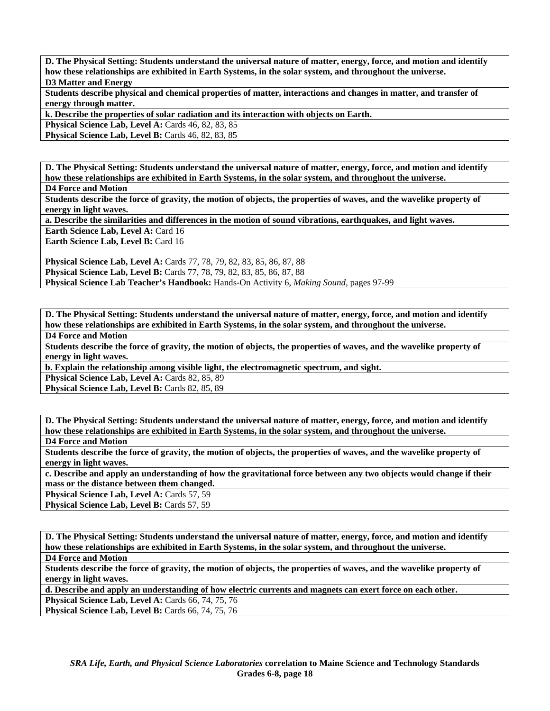**D. The Physical Setting: Students understand the universal nature of matter, energy, force, and motion and identify how these relationships are exhibited in Earth Systems, in the solar system, and throughout the universe. D3 Matter and Energy** 

**Students describe physical and chemical properties of matter, interactions and changes in matter, and transfer of energy through matter.** 

**k. Describe the properties of solar radiation and its interaction with objects on Earth.** 

**Physical Science Lab, Level A: Cards 46, 82, 83, 85** 

**Physical Science Lab, Level B:** Cards 46, 82, 83, 85

**D. The Physical Setting: Students understand the universal nature of matter, energy, force, and motion and identify how these relationships are exhibited in Earth Systems, in the solar system, and throughout the universe.** 

**D4 Force and Motion** 

**Students describe the force of gravity, the motion of objects, the properties of waves, and the wavelike property of energy in light waves.** 

**a. Describe the similarities and differences in the motion of sound vibrations, earthquakes, and light waves.** 

**Earth Science Lab, Level A: Card 16** 

Earth Science Lab, Level B: Card 16

**Physical Science Lab, Level A:** Cards 77, 78, 79, 82, 83, 85, 86, 87, 88 **Physical Science Lab, Level B:** Cards 77, 78, 79, 82, 83, 85, 86, 87, 88 **Physical Science Lab Teacher's Handbook:** Hands-On Activity 6, *Making Sound,* pages 97-99

**D. The Physical Setting: Students understand the universal nature of matter, energy, force, and motion and identify how these relationships are exhibited in Earth Systems, in the solar system, and throughout the universe.** 

**D4 Force and Motion** 

**Students describe the force of gravity, the motion of objects, the properties of waves, and the wavelike property of energy in light waves.** 

**b. Explain the relationship among visible light, the electromagnetic spectrum, and sight.** 

Physical Science Lab, Level A: Cards 82, 85, 89

Physical Science Lab, Level B: Cards 82, 85, 89

**D. The Physical Setting: Students understand the universal nature of matter, energy, force, and motion and identify how these relationships are exhibited in Earth Systems, in the solar system, and throughout the universe.** 

**D4 Force and Motion** 

**Students describe the force of gravity, the motion of objects, the properties of waves, and the wavelike property of energy in light waves.** 

**c. Describe and apply an understanding of how the gravitational force between any two objects would change if their mass or the distance between them changed.** 

Physical Science Lab, Level A: Cards 57, 59

Physical Science Lab, Level B: Cards 57, 59

**D. The Physical Setting: Students understand the universal nature of matter, energy, force, and motion and identify how these relationships are exhibited in Earth Systems, in the solar system, and throughout the universe.** 

**D4 Force and Motion** 

**Students describe the force of gravity, the motion of objects, the properties of waves, and the wavelike property of energy in light waves.** 

**d. Describe and apply an understanding of how electric currents and magnets can exert force on each other.** 

**Physical Science Lab, Level A: Cards 66, 74, 75, 76 Physical Science Lab, Level B:** Cards 66, 74, 75, 76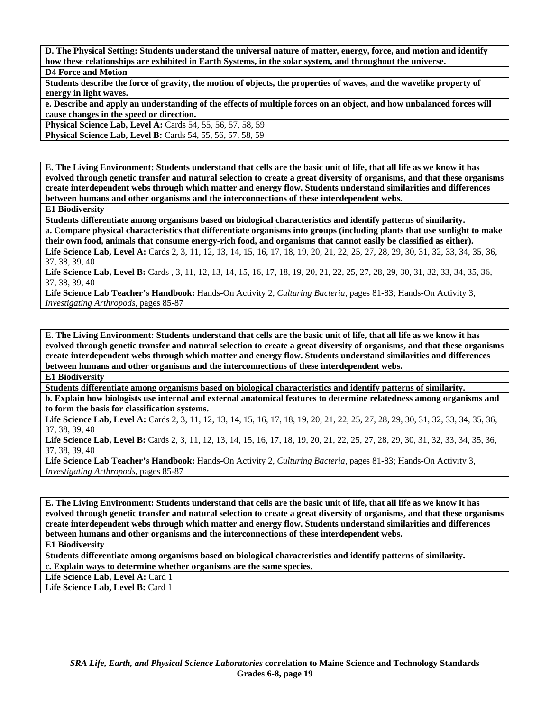**D. The Physical Setting: Students understand the universal nature of matter, energy, force, and motion and identify how these relationships are exhibited in Earth Systems, in the solar system, and throughout the universe.** 

**D4 Force and Motion** 

**Students describe the force of gravity, the motion of objects, the properties of waves, and the wavelike property of energy in light waves.** 

**e. Describe and apply an understanding of the effects of multiple forces on an object, and how unbalanced forces will cause changes in the speed or direction.** 

**Physical Science Lab, Level A: Cards 54, 55, 56, 57, 58, 59** 

**Physical Science Lab, Level B:** Cards 54, 55, 56, 57, 58, 59

**E. The Living Environment: Students understand that cells are the basic unit of life, that all life as we know it has evolved through genetic transfer and natural selection to create a great diversity of organisms, and that these organisms create interdependent webs through which matter and energy flow. Students understand similarities and differences between humans and other organisms and the interconnections of these interdependent webs.** 

**E1 Biodiversity** 

**Students differentiate among organisms based on biological characteristics and identify patterns of similarity.** 

**a. Compare physical characteristics that differentiate organisms into groups (including plants that use sunlight to make their own food, animals that consume energy-rich food, and organisms that cannot easily be classified as either).** 

Life Science Lab, Level A: Cards 2, 3, 11, 12, 13, 14, 15, 16, 17, 18, 19, 20, 21, 22, 25, 27, 28, 29, 30, 31, 32, 33, 34, 35, 36, 37, 38, 39, 40

Life Science Lab, Level B: Cards , 3, 11, 12, 13, 14, 15, 16, 17, 18, 19, 20, 21, 22, 25, 27, 28, 29, 30, 31, 32, 33, 34, 35, 36, 37, 38, 39, 40

**Life Science Lab Teacher's Handbook:** Hands-On Activity 2, *Culturing Bacteria,* pages 81-83; Hands-On Activity 3, *Investigating Arthropods,* pages 85-87

**E. The Living Environment: Students understand that cells are the basic unit of life, that all life as we know it has evolved through genetic transfer and natural selection to create a great diversity of organisms, and that these organisms create interdependent webs through which matter and energy flow. Students understand similarities and differences between humans and other organisms and the interconnections of these interdependent webs.** 

**E1 Biodiversity** 

**Students differentiate among organisms based on biological characteristics and identify patterns of similarity.** 

**b. Explain how biologists use internal and external anatomical features to determine relatedness among organisms and to form the basis for classification systems.** 

Life Science Lab, Level A: Cards 2, 3, 11, 12, 13, 14, 15, 16, 17, 18, 19, 20, 21, 22, 25, 27, 28, 29, 30, 31, 32, 33, 34, 35, 36, 37, 38, 39, 40

Life Science Lab, Level B: Cards 2, 3, 11, 12, 13, 14, 15, 16, 17, 18, 19, 20, 21, 22, 25, 27, 28, 29, 30, 31, 32, 33, 34, 35, 36, 37, 38, 39, 40

**Life Science Lab Teacher's Handbook:** Hands-On Activity 2, *Culturing Bacteria,* pages 81-83; Hands-On Activity 3, *Investigating Arthropods,* pages 85-87

**E. The Living Environment: Students understand that cells are the basic unit of life, that all life as we know it has evolved through genetic transfer and natural selection to create a great diversity of organisms, and that these organisms create interdependent webs through which matter and energy flow. Students understand similarities and differences between humans and other organisms and the interconnections of these interdependent webs.** 

**E1 Biodiversity** 

**Students differentiate among organisms based on biological characteristics and identify patterns of similarity.** 

**c. Explain ways to determine whether organisms are the same species.** 

Life Science Lab, Level A: Card 1

Life Science Lab, Level B: Card 1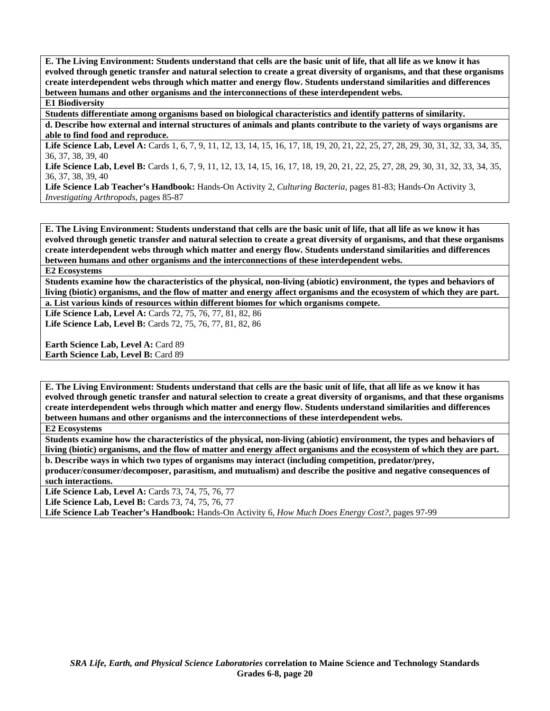**E. The Living Environment: Students understand that cells are the basic unit of life, that all life as we know it has evolved through genetic transfer and natural selection to create a great diversity of organisms, and that these organisms create interdependent webs through which matter and energy flow. Students understand similarities and differences between humans and other organisms and the interconnections of these interdependent webs.** 

# **E1 Biodiversity**

**Students differentiate among organisms based on biological characteristics and identify patterns of similarity.** 

**d. Describe how external and internal structures of animals and plants contribute to the variety of ways organisms are able to find food and reproduce.** 

Life Science Lab, Level A: Cards 1, 6, 7, 9, 11, 12, 13, 14, 15, 16, 17, 18, 19, 20, 21, 22, 25, 27, 28, 29, 30, 31, 32, 33, 34, 35, 36, 37, 38, 39, 40

**Life Science Lab, Level B:** Cards 1, 6, 7, 9, 11, 12, 13, 14, 15, 16, 17, 18, 19, 20, 21, 22, 25, 27, 28, 29, 30, 31, 32, 33, 34, 35, 36, 37, 38, 39, 40

**Life Science Lab Teacher's Handbook:** Hands-On Activity 2, *Culturing Bacteria,* pages 81-83; Hands-On Activity 3, *Investigating Arthropods,* pages 85-87

**E. The Living Environment: Students understand that cells are the basic unit of life, that all life as we know it has evolved through genetic transfer and natural selection to create a great diversity of organisms, and that these organisms create interdependent webs through which matter and energy flow. Students understand similarities and differences between humans and other organisms and the interconnections of these interdependent webs.** 

#### **E2 Ecosystems**

**Students examine how the characteristics of the physical, non-living (abiotic) environment, the types and behaviors of living (biotic) organisms, and the flow of matter and energy affect organisms and the ecosystem of which they are part. a. List various kinds of resources within different biomes for which organisms compete.** 

**Life Science Lab, Level A:** Cards 72, 75, 76, 77, 81, 82, 86 **Life Science Lab, Level B:** Cards 72, 75, 76, 77, 81, 82, 86

**Earth Science Lab, Level A: Card 89 Earth Science Lab, Level B: Card 89** 

**E. The Living Environment: Students understand that cells are the basic unit of life, that all life as we know it has evolved through genetic transfer and natural selection to create a great diversity of organisms, and that these organisms create interdependent webs through which matter and energy flow. Students understand similarities and differences between humans and other organisms and the interconnections of these interdependent webs.** 

**E2 Ecosystems** 

**Students examine how the characteristics of the physical, non-living (abiotic) environment, the types and behaviors of living (biotic) organisms, and the flow of matter and energy affect organisms and the ecosystem of which they are part.** 

**b. Describe ways in which two types of organisms may interact (including competition, predator/prey, producer/consumer/decomposer, parasitism, and mutualism) and describe the positive and negative consequences of such interactions.** 

Life Science Lab, Level A: Cards 73, 74, 75, 76, 77

**Life Science Lab, Level B: Cards 73, 74, 75, 76, 77** 

**Life Science Lab Teacher's Handbook:** Hands-On Activity 6, *How Much Does Energy Cost?,* pages 97-99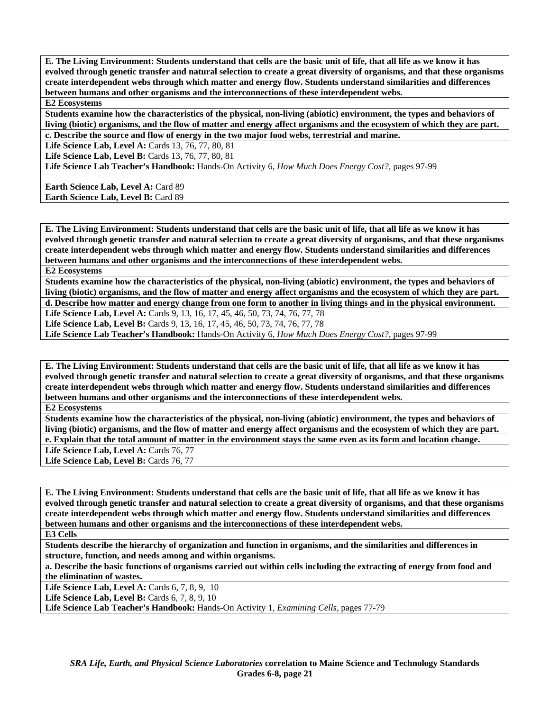**E. The Living Environment: Students understand that cells are the basic unit of life, that all life as we know it has evolved through genetic transfer and natural selection to create a great diversity of organisms, and that these organisms create interdependent webs through which matter and energy flow. Students understand similarities and differences between humans and other organisms and the interconnections of these interdependent webs.** 

## **E2 Ecosystems**

**Students examine how the characteristics of the physical, non-living (abiotic) environment, the types and behaviors of living (biotic) organisms, and the flow of matter and energy affect organisms and the ecosystem of which they are part. c. Describe the source and flow of energy in the two major food webs, terrestrial and marine.** 

Life Science Lab, Level A: Cards 13, 76, 77, 80, 81

**Life Science Lab, Level B: Cards 13, 76, 77, 80, 81** 

**Life Science Lab Teacher's Handbook:** Hands-On Activity 6, *How Much Does Energy Cost?,* pages 97-99

**Earth Science Lab, Level A: Card 89 Earth Science Lab, Level B: Card 89** 

**E. The Living Environment: Students understand that cells are the basic unit of life, that all life as we know it has evolved through genetic transfer and natural selection to create a great diversity of organisms, and that these organisms create interdependent webs through which matter and energy flow. Students understand similarities and differences between humans and other organisms and the interconnections of these interdependent webs.** 

**E2 Ecosystems** 

**Students examine how the characteristics of the physical, non-living (abiotic) environment, the types and behaviors of living (biotic) organisms, and the flow of matter and energy affect organisms and the ecosystem of which they are part. d. Describe how matter and energy change from one form to another in living things and in the physical environment.** 

Life Science Lab, Level A: Cards 9, 13, 16, 17, 45, 46, 50, 73, 74, 76, 77, 78

Life Science Lab, Level B: Cards 9, 13, 16, 17, 45, 46, 50, 73, 74, 76, 77, 78

**Life Science Lab Teacher's Handbook:** Hands-On Activity 6, *How Much Does Energy Cost?,* pages 97-99

**E. The Living Environment: Students understand that cells are the basic unit of life, that all life as we know it has evolved through genetic transfer and natural selection to create a great diversity of organisms, and that these organisms create interdependent webs through which matter and energy flow. Students understand similarities and differences between humans and other organisms and the interconnections of these interdependent webs.** 

**E2 Ecosystems** 

**Students examine how the characteristics of the physical, non-living (abiotic) environment, the types and behaviors of living (biotic) organisms, and the flow of matter and energy affect organisms and the ecosystem of which they are part. e. Explain that the total amount of matter in the environment stays the same even as its form and location change.** 

Life Science Lab, Level A: Cards 76, 77

Life Science Lab, Level B: Cards 76, 77

**E. The Living Environment: Students understand that cells are the basic unit of life, that all life as we know it has evolved through genetic transfer and natural selection to create a great diversity of organisms, and that these organisms create interdependent webs through which matter and energy flow. Students understand similarities and differences between humans and other organisms and the interconnections of these interdependent webs.** 

**E3 Cells** 

**Students describe the hierarchy of organization and function in organisms, and the similarities and differences in structure, function, and needs among and within organisms.** 

**a. Describe the basic functions of organisms carried out within cells including the extracting of energy from food and the elimination of wastes.** 

**Life Science Lab, Level A: Cards 6, 7, 8, 9, 10** 

**Life Science Lab, Level B:** Cards 6, 7, 8, 9, 10

**Life Science Lab Teacher's Handbook:** Hands-On Activity 1, *Examining Cells,* pages 77-79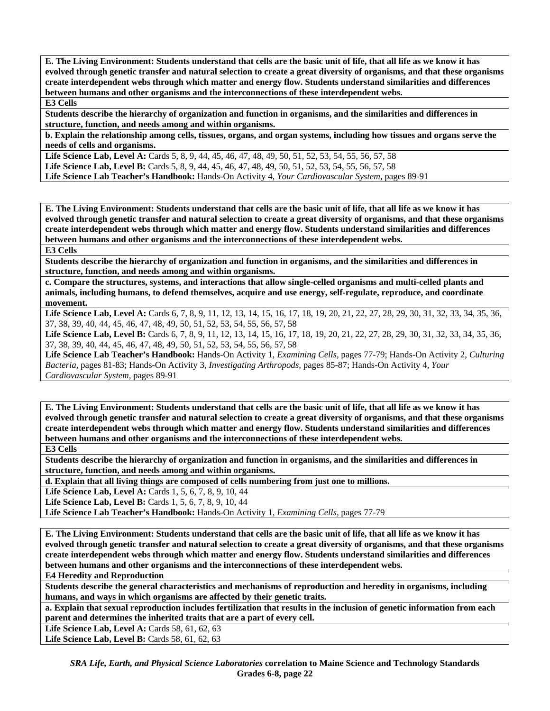**E. The Living Environment: Students understand that cells are the basic unit of life, that all life as we know it has evolved through genetic transfer and natural selection to create a great diversity of organisms, and that these organisms create interdependent webs through which matter and energy flow. Students understand similarities and differences between humans and other organisms and the interconnections of these interdependent webs. E3 Cells** 

**Students describe the hierarchy of organization and function in organisms, and the similarities and differences in structure, function, and needs among and within organisms.** 

**b. Explain the relationship among cells, tissues, organs, and organ systems, including how tissues and organs serve the needs of cells and organisms.** 

**Life Science Lab, Level A:** Cards 5, 8, 9, 44, 45, 46, 47, 48, 49, 50, 51, 52, 53, 54, 55, 56, 57, 58 **Life Science Lab, Level B:** Cards 5, 8, 9, 44, 45, 46, 47, 48, 49, 50, 51, 52, 53, 54, 55, 56, 57, 58 **Life Science Lab Teacher's Handbook:** Hands-On Activity 4, *Your Cardiovascular System,* pages 89-91

**E. The Living Environment: Students understand that cells are the basic unit of life, that all life as we know it has evolved through genetic transfer and natural selection to create a great diversity of organisms, and that these organisms create interdependent webs through which matter and energy flow. Students understand similarities and differences between humans and other organisms and the interconnections of these interdependent webs. E3 Cells** 

**Students describe the hierarchy of organization and function in organisms, and the similarities and differences in structure, function, and needs among and within organisms.** 

**c. Compare the structures, systems, and interactions that allow single-celled organisms and multi-celled plants and animals, including humans, to defend themselves, acquire and use energy, self-regulate, reproduce, and coordinate movement.** 

Life Science Lab, Level A: Cards 6, 7, 8, 9, 11, 12, 13, 14, 15, 16, 17, 18, 19, 20, 21, 22, 27, 28, 29, 30, 31, 32, 33, 34, 35, 36, 37, 38, 39, 40, 44, 45, 46, 47, 48, 49, 50, 51, 52, 53, 54, 55, 56, 57, 58

Life Science Lab, Level B: Cards 6, 7, 8, 9, 11, 12, 13, 14, 15, 16, 17, 18, 19, 20, 21, 22, 27, 28, 29, 30, 31, 32, 33, 34, 35, 36, 37, 38, 39, 40, 44, 45, 46, 47, 48, 49, 50, 51, 52, 53, 54, 55, 56, 57, 58

**Life Science Lab Teacher's Handbook:** Hands-On Activity 1, *Examining Cells,* pages 77-79; Hands-On Activity 2, *Culturing Bacteria,* pages 81-83; Hands-On Activity 3, *Investigating Arthropods,* pages 85-87; Hands-On Activity 4, *Your Cardiovascular System,* pages 89-91

**E. The Living Environment: Students understand that cells are the basic unit of life, that all life as we know it has evolved through genetic transfer and natural selection to create a great diversity of organisms, and that these organisms create interdependent webs through which matter and energy flow. Students understand similarities and differences between humans and other organisms and the interconnections of these interdependent webs. E3 Cells** 

**Students describe the hierarchy of organization and function in organisms, and the similarities and differences in structure, function, and needs among and within organisms.** 

**d. Explain that all living things are composed of cells numbering from just one to millions.** 

Life Science Lab, Level A: Cards 1, 5, 6, 7, 8, 9, 10, 44

**Life Science Lab, Level B:** Cards 1, 5, 6, 7, 8, 9, 10, 44

**Life Science Lab Teacher's Handbook:** Hands-On Activity 1, *Examining Cells,* pages 77-79

**E. The Living Environment: Students understand that cells are the basic unit of life, that all life as we know it has evolved through genetic transfer and natural selection to create a great diversity of organisms, and that these organisms create interdependent webs through which matter and energy flow. Students understand similarities and differences between humans and other organisms and the interconnections of these interdependent webs.** 

**E4 Heredity and Reproduction** 

**Students describe the general characteristics and mechanisms of reproduction and heredity in organisms, including humans, and ways in which organisms are affected by their genetic traits.** 

**a. Explain that sexual reproduction includes fertilization that results in the inclusion of genetic information from each parent and determines the inherited traits that are a part of every cell.** 

**Life Science Lab, Level A: Cards 58, 61, 62, 63** 

Life Science Lab, Level B: Cards 58, 61, 62, 63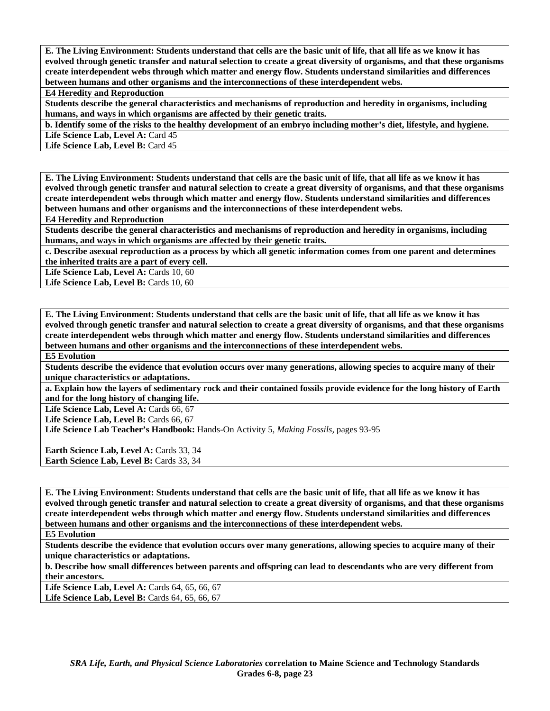**E. The Living Environment: Students understand that cells are the basic unit of life, that all life as we know it has evolved through genetic transfer and natural selection to create a great diversity of organisms, and that these organisms create interdependent webs through which matter and energy flow. Students understand similarities and differences between humans and other organisms and the interconnections of these interdependent webs.** 

**E4 Heredity and Reproduction** 

**Students describe the general characteristics and mechanisms of reproduction and heredity in organisms, including humans, and ways in which organisms are affected by their genetic traits.** 

**b. Identify some of the risks to the healthy development of an embryo including mother's diet, lifestyle, and hygiene.**  Life Science Lab, Level A: Card 45

Life Science Lab, Level B: Card 45

**E. The Living Environment: Students understand that cells are the basic unit of life, that all life as we know it has evolved through genetic transfer and natural selection to create a great diversity of organisms, and that these organisms create interdependent webs through which matter and energy flow. Students understand similarities and differences between humans and other organisms and the interconnections of these interdependent webs.** 

**E4 Heredity and Reproduction** 

**Students describe the general characteristics and mechanisms of reproduction and heredity in organisms, including humans, and ways in which organisms are affected by their genetic traits.** 

**c. Describe asexual reproduction as a process by which all genetic information comes from one parent and determines the inherited traits are a part of every cell.** 

Life Science Lab, Level A: Cards 10, 60

Life Science Lab, Level B: Cards 10, 60

**E. The Living Environment: Students understand that cells are the basic unit of life, that all life as we know it has evolved through genetic transfer and natural selection to create a great diversity of organisms, and that these organisms create interdependent webs through which matter and energy flow. Students understand similarities and differences between humans and other organisms and the interconnections of these interdependent webs.** 

**E5 Evolution** 

**Students describe the evidence that evolution occurs over many generations, allowing species to acquire many of their unique characteristics or adaptations.** 

**a. Explain how the layers of sedimentary rock and their contained fossils provide evidence for the long history of Earth and for the long history of changing life.** 

Life Science Lab, Level A: Cards 66, 67

Life Science Lab, Level B: Cards 66, 67

**Life Science Lab Teacher's Handbook:** Hands-On Activity 5, *Making Fossils,* pages 93-95

Earth Science Lab, Level A: Cards 33, 34 Earth Science Lab, Level B: Cards 33, 34

**E. The Living Environment: Students understand that cells are the basic unit of life, that all life as we know it has evolved through genetic transfer and natural selection to create a great diversity of organisms, and that these organisms create interdependent webs through which matter and energy flow. Students understand similarities and differences between humans and other organisms and the interconnections of these interdependent webs.** 

**E5 Evolution** 

**Students describe the evidence that evolution occurs over many generations, allowing species to acquire many of their unique characteristics or adaptations.** 

**b. Describe how small differences between parents and offspring can lead to descendants who are very different from their ancestors.** 

Life Science Lab, Level A: Cards 64, 65, 66, 67 Life Science Lab, Level B: Cards 64, 65, 66, 67